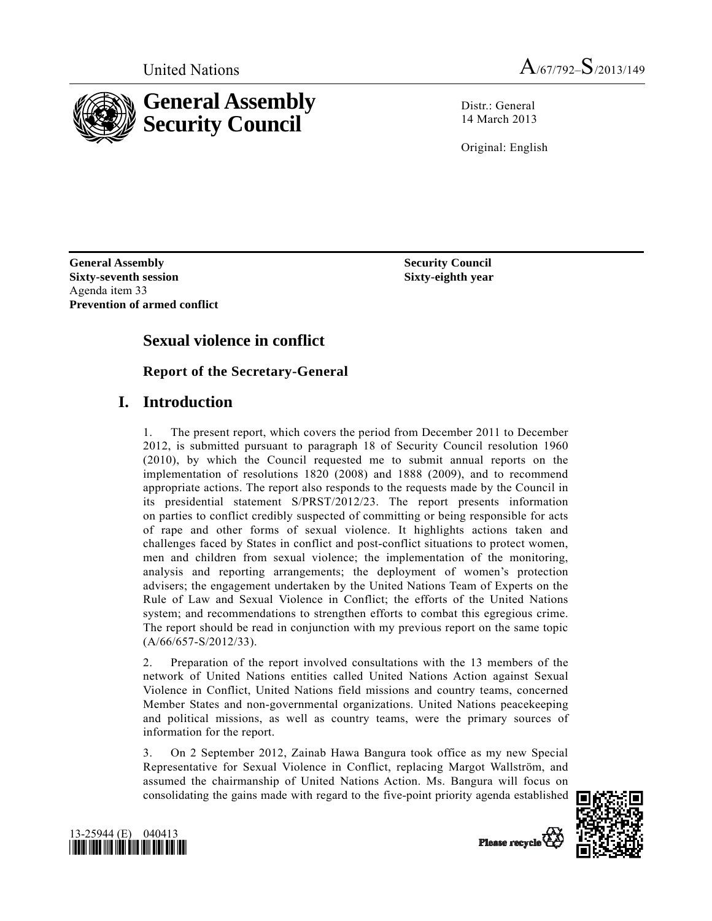

**General Assembly Security Council** 

Distr · General 14 March 2013

Original: English

**General Assembly Security Council and Security Council is a security Council Sixty-seventh session**  Agenda item 33 **Prevention of armed conflict** 

 **Sixty-eighth year** 

# **Sexual violence in conflict**

# **Report of the Secretary-General**

# **I. Introduction**

1. The present report, which covers the period from December 2011 to December 2012, is submitted pursuant to paragraph 18 of Security Council resolution 1960 (2010), by which the Council requested me to submit annual reports on the implementation of resolutions 1820 (2008) and 1888 (2009), and to recommend appropriate actions. The report also responds to the requests made by the Council in its presidential statement S/PRST/2012/23. The report presents information on parties to conflict credibly suspected of committing or being responsible for acts of rape and other forms of sexual violence. It highlights actions taken and challenges faced by States in conflict and post-conflict situations to protect women, men and children from sexual violence; the implementation of the monitoring, analysis and reporting arrangements; the deployment of women's protection advisers; the engagement undertaken by the United Nations Team of Experts on the Rule of Law and Sexual Violence in Conflict; the efforts of the United Nations system; and recommendations to strengthen efforts to combat this egregious crime. The report should be read in conjunction with my previous report on the same topic (A/66/657-S/2012/33).

2. Preparation of the report involved consultations with the 13 members of the network of United Nations entities called United Nations Action against Sexual Violence in Conflict, United Nations field missions and country teams, concerned Member States and non-governmental organizations. United Nations peacekeeping and political missions, as well as country teams, were the primary sources of information for the report.

3. On 2 September 2012, Zainab Hawa Bangura took office as my new Special Representative for Sexual Violence in Conflict, replacing Margot Wallström, and assumed the chairmanship of United Nations Action. Ms. Bangura will focus on consolidating the gains made with regard to the five-point priority agenda established



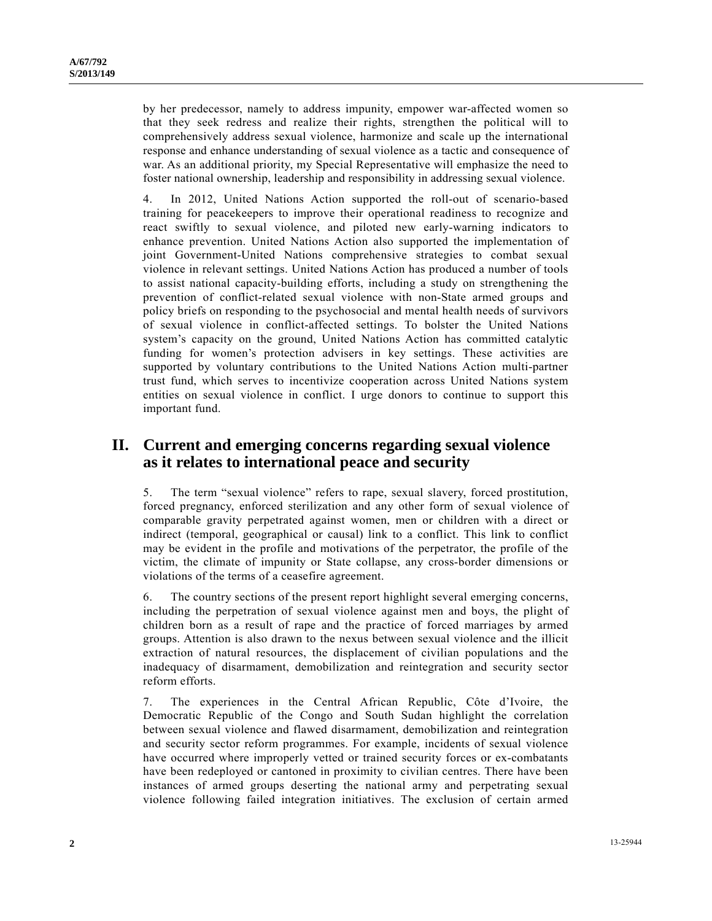by her predecessor, namely to address impunity, empower war-affected women so that they seek redress and realize their rights, strengthen the political will to comprehensively address sexual violence, harmonize and scale up the international response and enhance understanding of sexual violence as a tactic and consequence of war. As an additional priority, my Special Representative will emphasize the need to foster national ownership, leadership and responsibility in addressing sexual violence.

4. In 2012, United Nations Action supported the roll-out of scenario-based training for peacekeepers to improve their operational readiness to recognize and react swiftly to sexual violence, and piloted new early-warning indicators to enhance prevention. United Nations Action also supported the implementation of joint Government-United Nations comprehensive strategies to combat sexual violence in relevant settings. United Nations Action has produced a number of tools to assist national capacity-building efforts, including a study on strengthening the prevention of conflict-related sexual violence with non-State armed groups and policy briefs on responding to the psychosocial and mental health needs of survivors of sexual violence in conflict-affected settings. To bolster the United Nations system's capacity on the ground, United Nations Action has committed catalytic funding for women's protection advisers in key settings. These activities are supported by voluntary contributions to the United Nations Action multi-partner trust fund, which serves to incentivize cooperation across United Nations system entities on sexual violence in conflict. I urge donors to continue to support this important fund.

# **II. Current and emerging concerns regarding sexual violence as it relates to international peace and security**

5. The term "sexual violence" refers to rape, sexual slavery, forced prostitution, forced pregnancy, enforced sterilization and any other form of sexual violence of comparable gravity perpetrated against women, men or children with a direct or indirect (temporal, geographical or causal) link to a conflict. This link to conflict may be evident in the profile and motivations of the perpetrator, the profile of the victim, the climate of impunity or State collapse, any cross-border dimensions or violations of the terms of a ceasefire agreement.

6. The country sections of the present report highlight several emerging concerns, including the perpetration of sexual violence against men and boys, the plight of children born as a result of rape and the practice of forced marriages by armed groups. Attention is also drawn to the nexus between sexual violence and the illicit extraction of natural resources, the displacement of civilian populations and the inadequacy of disarmament, demobilization and reintegration and security sector reform efforts.

7. The experiences in the Central African Republic, Côte d'Ivoire, the Democratic Republic of the Congo and South Sudan highlight the correlation between sexual violence and flawed disarmament, demobilization and reintegration and security sector reform programmes. For example, incidents of sexual violence have occurred where improperly vetted or trained security forces or ex-combatants have been redeployed or cantoned in proximity to civilian centres. There have been instances of armed groups deserting the national army and perpetrating sexual violence following failed integration initiatives. The exclusion of certain armed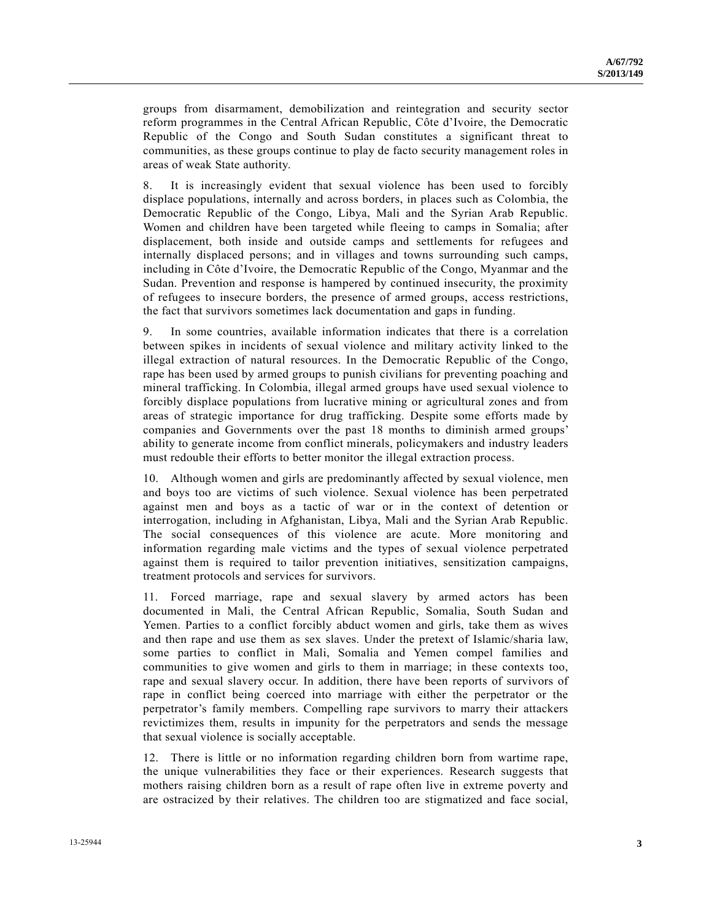groups from disarmament, demobilization and reintegration and security sector reform programmes in the Central African Republic, Côte d'Ivoire, the Democratic Republic of the Congo and South Sudan constitutes a significant threat to communities, as these groups continue to play de facto security management roles in areas of weak State authority.

8. It is increasingly evident that sexual violence has been used to forcibly displace populations, internally and across borders, in places such as Colombia, the Democratic Republic of the Congo, Libya, Mali and the Syrian Arab Republic. Women and children have been targeted while fleeing to camps in Somalia; after displacement, both inside and outside camps and settlements for refugees and internally displaced persons; and in villages and towns surrounding such camps, including in Côte d'Ivoire, the Democratic Republic of the Congo, Myanmar and the Sudan. Prevention and response is hampered by continued insecurity, the proximity of refugees to insecure borders, the presence of armed groups, access restrictions, the fact that survivors sometimes lack documentation and gaps in funding.

9. In some countries, available information indicates that there is a correlation between spikes in incidents of sexual violence and military activity linked to the illegal extraction of natural resources. In the Democratic Republic of the Congo, rape has been used by armed groups to punish civilians for preventing poaching and mineral trafficking. In Colombia, illegal armed groups have used sexual violence to forcibly displace populations from lucrative mining or agricultural zones and from areas of strategic importance for drug trafficking. Despite some efforts made by companies and Governments over the past 18 months to diminish armed groups' ability to generate income from conflict minerals, policymakers and industry leaders must redouble their efforts to better monitor the illegal extraction process.

10. Although women and girls are predominantly affected by sexual violence, men and boys too are victims of such violence. Sexual violence has been perpetrated against men and boys as a tactic of war or in the context of detention or interrogation, including in Afghanistan, Libya, Mali and the Syrian Arab Republic. The social consequences of this violence are acute. More monitoring and information regarding male victims and the types of sexual violence perpetrated against them is required to tailor prevention initiatives, sensitization campaigns, treatment protocols and services for survivors.

11. Forced marriage, rape and sexual slavery by armed actors has been documented in Mali, the Central African Republic, Somalia, South Sudan and Yemen. Parties to a conflict forcibly abduct women and girls, take them as wives and then rape and use them as sex slaves. Under the pretext of Islamic/sharia law, some parties to conflict in Mali, Somalia and Yemen compel families and communities to give women and girls to them in marriage; in these contexts too, rape and sexual slavery occur. In addition, there have been reports of survivors of rape in conflict being coerced into marriage with either the perpetrator or the perpetrator's family members. Compelling rape survivors to marry their attackers revictimizes them, results in impunity for the perpetrators and sends the message that sexual violence is socially acceptable.

12. There is little or no information regarding children born from wartime rape, the unique vulnerabilities they face or their experiences. Research suggests that mothers raising children born as a result of rape often live in extreme poverty and are ostracized by their relatives. The children too are stigmatized and face social,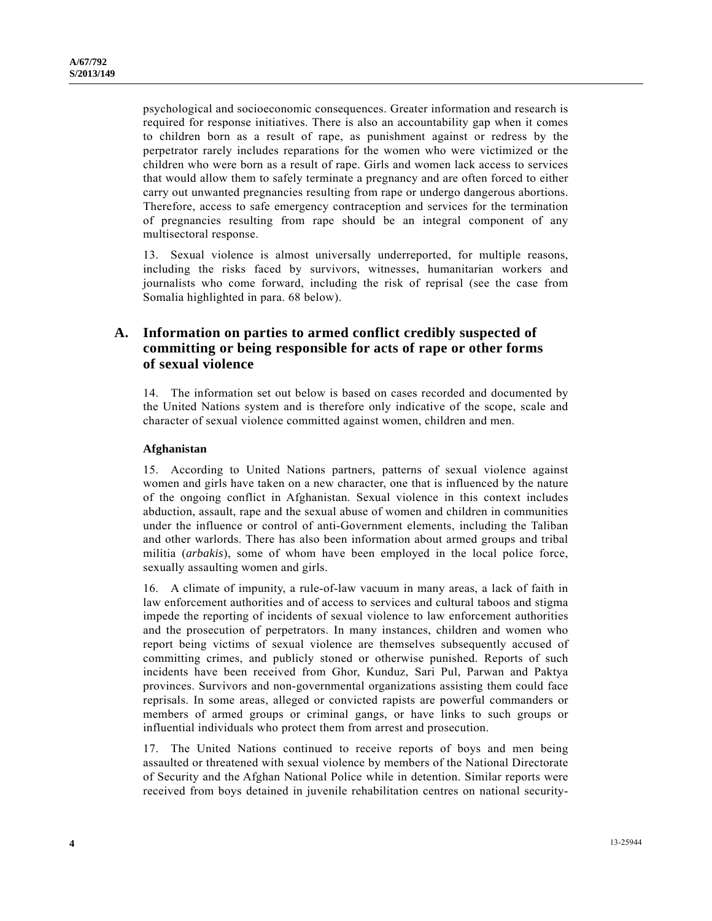psychological and socioeconomic consequences. Greater information and research is required for response initiatives. There is also an accountability gap when it comes to children born as a result of rape, as punishment against or redress by the perpetrator rarely includes reparations for the women who were victimized or the children who were born as a result of rape. Girls and women lack access to services that would allow them to safely terminate a pregnancy and are often forced to either carry out unwanted pregnancies resulting from rape or undergo dangerous abortions. Therefore, access to safe emergency contraception and services for the termination of pregnancies resulting from rape should be an integral component of any multisectoral response.

13. Sexual violence is almost universally underreported, for multiple reasons, including the risks faced by survivors, witnesses, humanitarian workers and journalists who come forward, including the risk of reprisal (see the case from Somalia highlighted in para. 68 below).

## **A. Information on parties to armed conflict credibly suspected of committing or being responsible for acts of rape or other forms of sexual violence**

14. The information set out below is based on cases recorded and documented by the United Nations system and is therefore only indicative of the scope, scale and character of sexual violence committed against women, children and men.

### **Afghanistan**

15. According to United Nations partners, patterns of sexual violence against women and girls have taken on a new character, one that is influenced by the nature of the ongoing conflict in Afghanistan. Sexual violence in this context includes abduction, assault, rape and the sexual abuse of women and children in communities under the influence or control of anti-Government elements, including the Taliban and other warlords. There has also been information about armed groups and tribal militia (*arbakis*), some of whom have been employed in the local police force, sexually assaulting women and girls.

16. A climate of impunity, a rule-of-law vacuum in many areas, a lack of faith in law enforcement authorities and of access to services and cultural taboos and stigma impede the reporting of incidents of sexual violence to law enforcement authorities and the prosecution of perpetrators. In many instances, children and women who report being victims of sexual violence are themselves subsequently accused of committing crimes, and publicly stoned or otherwise punished. Reports of such incidents have been received from Ghor, Kunduz, Sari Pul, Parwan and Paktya provinces. Survivors and non-governmental organizations assisting them could face reprisals. In some areas, alleged or convicted rapists are powerful commanders or members of armed groups or criminal gangs, or have links to such groups or influential individuals who protect them from arrest and prosecution.

17. The United Nations continued to receive reports of boys and men being assaulted or threatened with sexual violence by members of the National Directorate of Security and the Afghan National Police while in detention. Similar reports were received from boys detained in juvenile rehabilitation centres on national security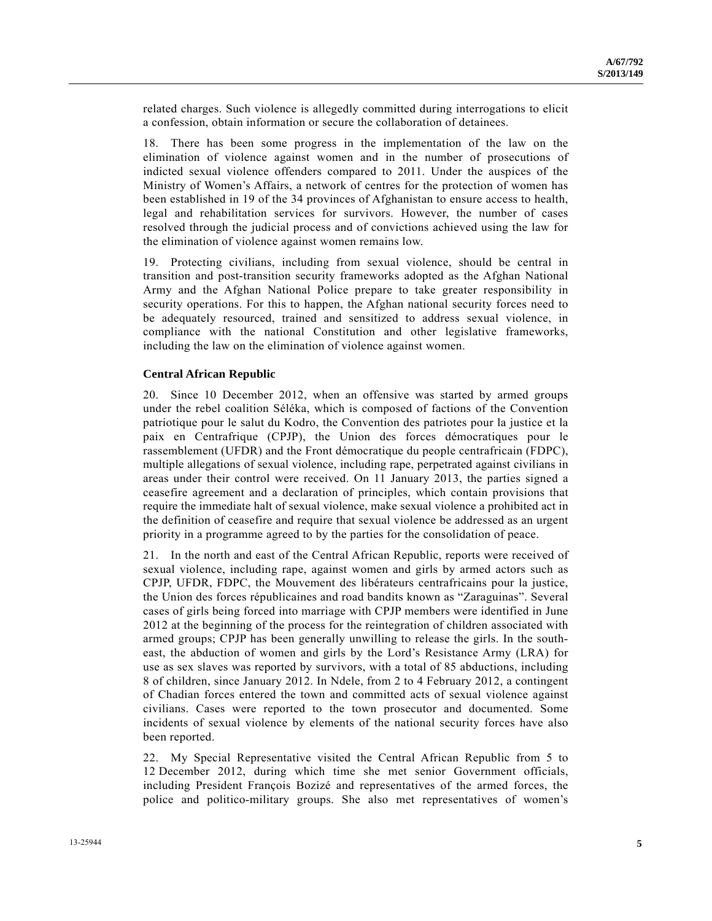related charges. Such violence is allegedly committed during interrogations to elicit a confession, obtain information or secure the collaboration of detainees.

18. There has been some progress in the implementation of the law on the elimination of violence against women and in the number of prosecutions of indicted sexual violence offenders compared to 2011. Under the auspices of the Ministry of Women's Affairs, a network of centres for the protection of women has been established in 19 of the 34 provinces of Afghanistan to ensure access to health, legal and rehabilitation services for survivors. However, the number of cases resolved through the judicial process and of convictions achieved using the law for the elimination of violence against women remains low.

19. Protecting civilians, including from sexual violence, should be central in transition and post-transition security frameworks adopted as the Afghan National Army and the Afghan National Police prepare to take greater responsibility in security operations. For this to happen, the Afghan national security forces need to be adequately resourced, trained and sensitized to address sexual violence, in compliance with the national Constitution and other legislative frameworks, including the law on the elimination of violence against women.

#### **Central African Republic**

20. Since 10 December 2012, when an offensive was started by armed groups under the rebel coalition Séléka, which is composed of factions of the Convention patriotique pour le salut du Kodro, the Convention des patriotes pour la justice et la paix en Centrafrique (CPJP), the Union des forces démocratiques pour le rassemblement (UFDR) and the Front démocratique du people centrafricain (FDPC), multiple allegations of sexual violence, including rape, perpetrated against civilians in areas under their control were received. On 11 January 2013, the parties signed a ceasefire agreement and a declaration of principles, which contain provisions that require the immediate halt of sexual violence, make sexual violence a prohibited act in the definition of ceasefire and require that sexual violence be addressed as an urgent priority in a programme agreed to by the parties for the consolidation of peace.

21. In the north and east of the Central African Republic, reports were received of sexual violence, including rape, against women and girls by armed actors such as CPJP, UFDR, FDPC, the Mouvement des libérateurs centrafricains pour la justice, the Union des forces républicaines and road bandits known as "Zaraguinas". Several cases of girls being forced into marriage with CPJP members were identified in June 2012 at the beginning of the process for the reintegration of children associated with armed groups; CPJP has been generally unwilling to release the girls. In the southeast, the abduction of women and girls by the Lord's Resistance Army (LRA) for use as sex slaves was reported by survivors, with a total of 85 abductions, including 8 of children, since January 2012. In Ndele, from 2 to 4 February 2012, a contingent of Chadian forces entered the town and committed acts of sexual violence against civilians. Cases were reported to the town prosecutor and documented. Some incidents of sexual violence by elements of the national security forces have also been reported.

22. My Special Representative visited the Central African Republic from 5 to 12 December 2012, during which time she met senior Government officials, including President François Bozizé and representatives of the armed forces, the police and politico-military groups. She also met representatives of women's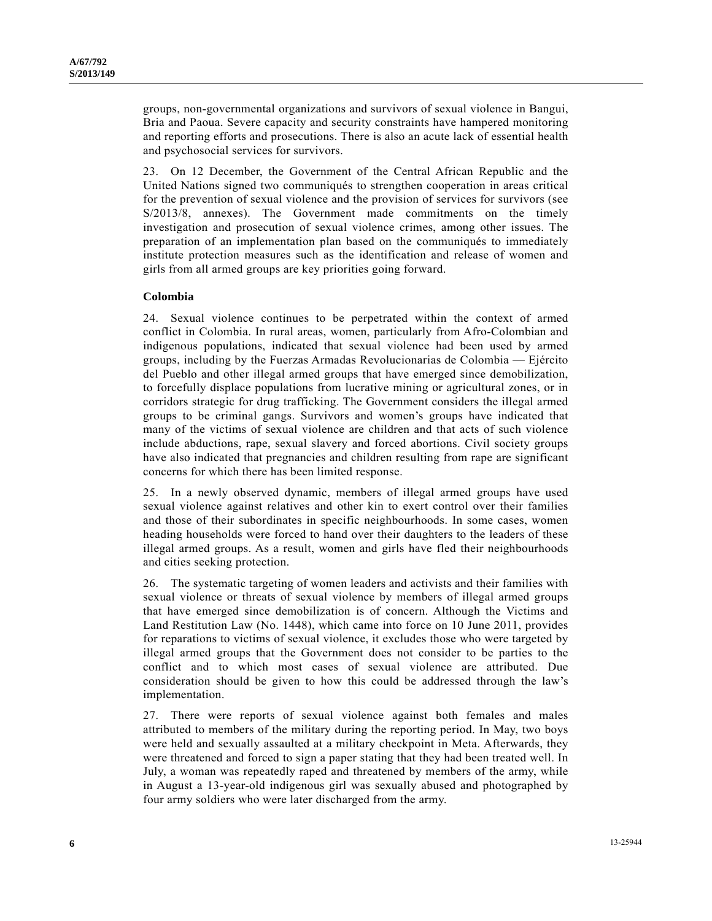groups, non-governmental organizations and survivors of sexual violence in Bangui, Bria and Paoua. Severe capacity and security constraints have hampered monitoring and reporting efforts and prosecutions. There is also an acute lack of essential health and psychosocial services for survivors.

23. On 12 December, the Government of the Central African Republic and the United Nations signed two communiqués to strengthen cooperation in areas critical for the prevention of sexual violence and the provision of services for survivors (see S/2013/8, annexes). The Government made commitments on the timely investigation and prosecution of sexual violence crimes, among other issues. The preparation of an implementation plan based on the communiqués to immediately institute protection measures such as the identification and release of women and girls from all armed groups are key priorities going forward.

### **Colombia**

24. Sexual violence continues to be perpetrated within the context of armed conflict in Colombia. In rural areas, women, particularly from Afro-Colombian and indigenous populations, indicated that sexual violence had been used by armed groups, including by the Fuerzas Armadas Revolucionarias de Colombia — Ejército del Pueblo and other illegal armed groups that have emerged since demobilization, to forcefully displace populations from lucrative mining or agricultural zones, or in corridors strategic for drug trafficking. The Government considers the illegal armed groups to be criminal gangs. Survivors and women's groups have indicated that many of the victims of sexual violence are children and that acts of such violence include abductions, rape, sexual slavery and forced abortions. Civil society groups have also indicated that pregnancies and children resulting from rape are significant concerns for which there has been limited response.

25. In a newly observed dynamic, members of illegal armed groups have used sexual violence against relatives and other kin to exert control over their families and those of their subordinates in specific neighbourhoods. In some cases, women heading households were forced to hand over their daughters to the leaders of these illegal armed groups. As a result, women and girls have fled their neighbourhoods and cities seeking protection.

26. The systematic targeting of women leaders and activists and their families with sexual violence or threats of sexual violence by members of illegal armed groups that have emerged since demobilization is of concern. Although the Victims and Land Restitution Law (No. 1448), which came into force on 10 June 2011, provides for reparations to victims of sexual violence, it excludes those who were targeted by illegal armed groups that the Government does not consider to be parties to the conflict and to which most cases of sexual violence are attributed. Due consideration should be given to how this could be addressed through the law's implementation.

27. There were reports of sexual violence against both females and males attributed to members of the military during the reporting period. In May, two boys were held and sexually assaulted at a military checkpoint in Meta. Afterwards, they were threatened and forced to sign a paper stating that they had been treated well. In July, a woman was repeatedly raped and threatened by members of the army, while in August a 13-year-old indigenous girl was sexually abused and photographed by four army soldiers who were later discharged from the army.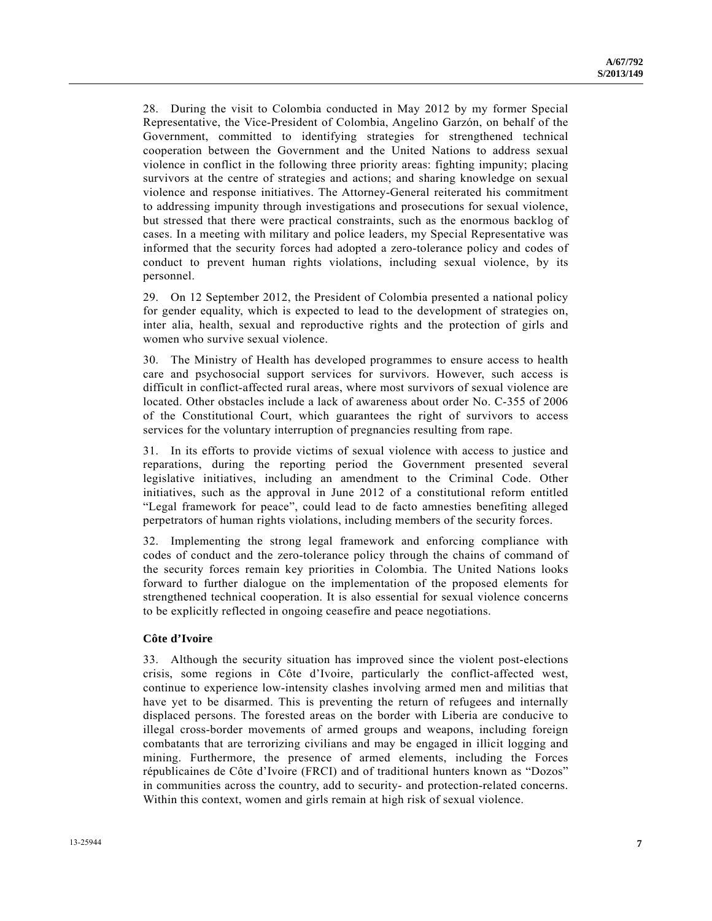28. During the visit to Colombia conducted in May 2012 by my former Special Representative, the Vice-President of Colombia, Angelino Garzón, on behalf of the Government, committed to identifying strategies for strengthened technical cooperation between the Government and the United Nations to address sexual violence in conflict in the following three priority areas: fighting impunity; placing survivors at the centre of strategies and actions; and sharing knowledge on sexual violence and response initiatives. The Attorney-General reiterated his commitment to addressing impunity through investigations and prosecutions for sexual violence, but stressed that there were practical constraints, such as the enormous backlog of cases. In a meeting with military and police leaders, my Special Representative was informed that the security forces had adopted a zero-tolerance policy and codes of conduct to prevent human rights violations, including sexual violence, by its personnel.

29. On 12 September 2012, the President of Colombia presented a national policy for gender equality, which is expected to lead to the development of strategies on, inter alia, health, sexual and reproductive rights and the protection of girls and women who survive sexual violence.

30. The Ministry of Health has developed programmes to ensure access to health care and psychosocial support services for survivors. However, such access is difficult in conflict-affected rural areas, where most survivors of sexual violence are located. Other obstacles include a lack of awareness about order No. C-355 of 2006 of the Constitutional Court, which guarantees the right of survivors to access services for the voluntary interruption of pregnancies resulting from rape.

31. In its efforts to provide victims of sexual violence with access to justice and reparations, during the reporting period the Government presented several legislative initiatives, including an amendment to the Criminal Code. Other initiatives, such as the approval in June 2012 of a constitutional reform entitled "Legal framework for peace", could lead to de facto amnesties benefiting alleged perpetrators of human rights violations, including members of the security forces.

32. Implementing the strong legal framework and enforcing compliance with codes of conduct and the zero-tolerance policy through the chains of command of the security forces remain key priorities in Colombia. The United Nations looks forward to further dialogue on the implementation of the proposed elements for strengthened technical cooperation. It is also essential for sexual violence concerns to be explicitly reflected in ongoing ceasefire and peace negotiations.

### **Côte d'Ivoire**

33. Although the security situation has improved since the violent post-elections crisis, some regions in Côte d'Ivoire, particularly the conflict-affected west, continue to experience low-intensity clashes involving armed men and militias that have yet to be disarmed. This is preventing the return of refugees and internally displaced persons. The forested areas on the border with Liberia are conducive to illegal cross-border movements of armed groups and weapons, including foreign combatants that are terrorizing civilians and may be engaged in illicit logging and mining. Furthermore, the presence of armed elements, including the Forces républicaines de Côte d'Ivoire (FRCI) and of traditional hunters known as "Dozos" in communities across the country, add to security- and protection-related concerns. Within this context, women and girls remain at high risk of sexual violence.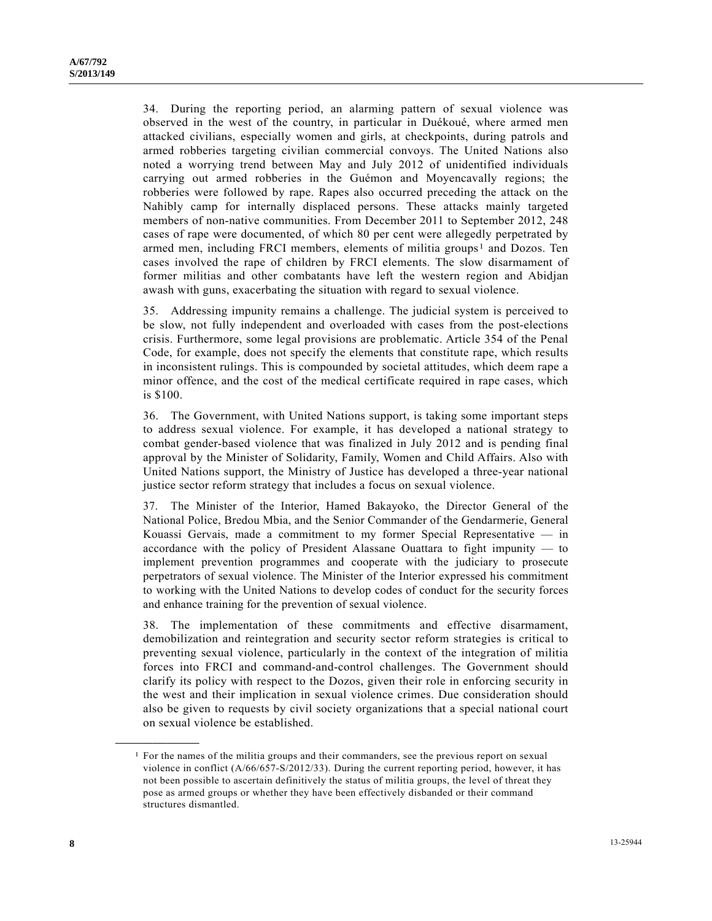34. During the reporting period, an alarming pattern of sexual violence was observed in the west of the country, in particular in Duékoué, where armed men attacked civilians, especially women and girls, at checkpoints, during patrols and armed robberies targeting civilian commercial convoys. The United Nations also noted a worrying trend between May and July 2012 of unidentified individuals carrying out armed robberies in the Guémon and Moyencavally regions; the robberies were followed by rape. Rapes also occurred preceding the attack on the Nahibly camp for internally displaced persons. These attacks mainly targeted members of non-native communities. From December 2011 to September 2012, 248 cases of rape were documented, of which 80 per cent were allegedly perpetrated by armed men, including FRCI members, elements of militia groups<sup>[1](#page-7-0)</sup> and Dozos. Ten cases involved the rape of children by FRCI elements. The slow disarmament of former militias and other combatants have left the western region and Abidjan awash with guns, exacerbating the situation with regard to sexual violence.

35. Addressing impunity remains a challenge. The judicial system is perceived to be slow, not fully independent and overloaded with cases from the post-elections crisis. Furthermore, some legal provisions are problematic. Article 354 of the Penal Code, for example, does not specify the elements that constitute rape, which results in inconsistent rulings. This is compounded by societal attitudes, which deem rape a minor offence, and the cost of the medical certificate required in rape cases, which is \$100.

36. The Government, with United Nations support, is taking some important steps to address sexual violence. For example, it has developed a national strategy to combat gender-based violence that was finalized in July 2012 and is pending final approval by the Minister of Solidarity, Family, Women and Child Affairs. Also with United Nations support, the Ministry of Justice has developed a three-year national justice sector reform strategy that includes a focus on sexual violence.

37. The Minister of the Interior, Hamed Bakayoko, the Director General of the National Police, Bredou Mbia, and the Senior Commander of the Gendarmerie, General Kouassi Gervais, made a commitment to my former Special Representative — in accordance with the policy of President Alassane Ouattara to fight impunity — to implement prevention programmes and cooperate with the judiciary to prosecute perpetrators of sexual violence. The Minister of the Interior expressed his commitment to working with the United Nations to develop codes of conduct for the security forces and enhance training for the prevention of sexual violence.

38. The implementation of these commitments and effective disarmament, demobilization and reintegration and security sector reform strategies is critical to preventing sexual violence, particularly in the context of the integration of militia forces into FRCI and command-and-control challenges. The Government should clarify its policy with respect to the Dozos, given their role in enforcing security in the west and their implication in sexual violence crimes. Due consideration should also be given to requests by civil society organizations that a special national court on sexual violence be established.

<span id="page-7-0"></span>**\_\_\_\_\_\_\_\_\_\_\_\_\_\_\_\_\_\_** 

<sup>1</sup> For the names of the militia groups and their commanders, see the previous report on sexual violence in conflict (A/66/657-S/2012/33). During the current reporting period, however, it has not been possible to ascertain definitively the status of militia groups, the level of threat they pose as armed groups or whether they have been effectively disbanded or their command structures dismantled.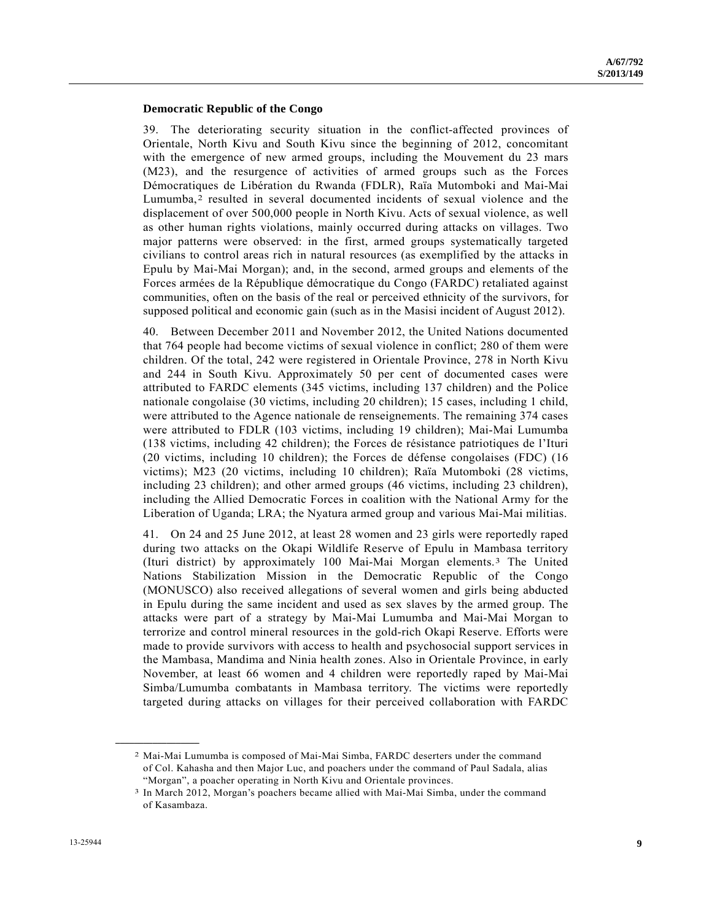#### **Democratic Republic of the Congo**

39. The deteriorating security situation in the conflict-affected provinces of Orientale, North Kivu and South Kivu since the beginning of 2012, concomitant with the emergence of new armed groups, including the Mouvement du 23 mars (M23), and the resurgence of activities of armed groups such as the Forces Démocratiques de Libération du Rwanda (FDLR), Raïa Mutomboki and Mai-Mai Lumumba,<sup>[2](#page-8-0)</sup> resulted in several documented incidents of sexual violence and the displacement of over 500,000 people in North Kivu. Acts of sexual violence, as well as other human rights violations, mainly occurred during attacks on villages. Two major patterns were observed: in the first, armed groups systematically targeted civilians to control areas rich in natural resources (as exemplified by the attacks in Epulu by Mai-Mai Morgan); and, in the second, armed groups and elements of the Forces armées de la République démocratique du Congo (FARDC) retaliated against communities, often on the basis of the real or perceived ethnicity of the survivors, for supposed political and economic gain (such as in the Masisi incident of August 2012).

40. Between December 2011 and November 2012, the United Nations documented that 764 people had become victims of sexual violence in conflict; 280 of them were children. Of the total, 242 were registered in Orientale Province, 278 in North Kivu and 244 in South Kivu. Approximately 50 per cent of documented cases were attributed to FARDC elements (345 victims, including 137 children) and the Police nationale congolaise (30 victims, including 20 children); 15 cases, including 1 child, were attributed to the Agence nationale de renseignements. The remaining 374 cases were attributed to FDLR (103 victims, including 19 children); Mai-Mai Lumumba (138 victims, including 42 children); the Forces de résistance patriotiques de l'Ituri (20 victims, including 10 children); the Forces de défense congolaises (FDC) (16 victims); M23 (20 victims, including 10 children); Raïa Mutomboki (28 victims, including 23 children); and other armed groups (46 victims, including 23 children), including the Allied Democratic Forces in coalition with the National Army for the Liberation of Uganda; LRA; the Nyatura armed group and various Mai-Mai militias.

41. On 24 and 25 June 2012, at least 28 women and 23 girls were reportedly raped during two attacks on the Okapi Wildlife Reserve of Epulu in Mambasa territory (Ituri district) by approximately 100 Mai-Mai Morgan elements.[3](#page-8-1) The United Nations Stabilization Mission in the Democratic Republic of the Congo (MONUSCO) also received allegations of several women and girls being abducted in Epulu during the same incident and used as sex slaves by the armed group. The attacks were part of a strategy by Mai-Mai Lumumba and Mai-Mai Morgan to terrorize and control mineral resources in the gold-rich Okapi Reserve. Efforts were made to provide survivors with access to health and psychosocial support services in the Mambasa, Mandima and Ninia health zones. Also in Orientale Province, in early November, at least 66 women and 4 children were reportedly raped by Mai-Mai Simba/Lumumba combatants in Mambasa territory. The victims were reportedly targeted during attacks on villages for their perceived collaboration with FARDC

<span id="page-8-1"></span><span id="page-8-0"></span>**\_\_\_\_\_\_\_\_\_\_\_\_\_\_\_\_\_\_** 

<sup>2</sup> Mai-Mai Lumumba is composed of Mai-Mai Simba, FARDC deserters under the command of Col. Kahasha and then Major Luc, and poachers under the command of Paul Sadala, alias "Morgan", a poacher operating in North Kivu and Orientale provinces.

<sup>3</sup> In March 2012, Morgan's poachers became allied with Mai-Mai Simba, under the command of Kasambaza.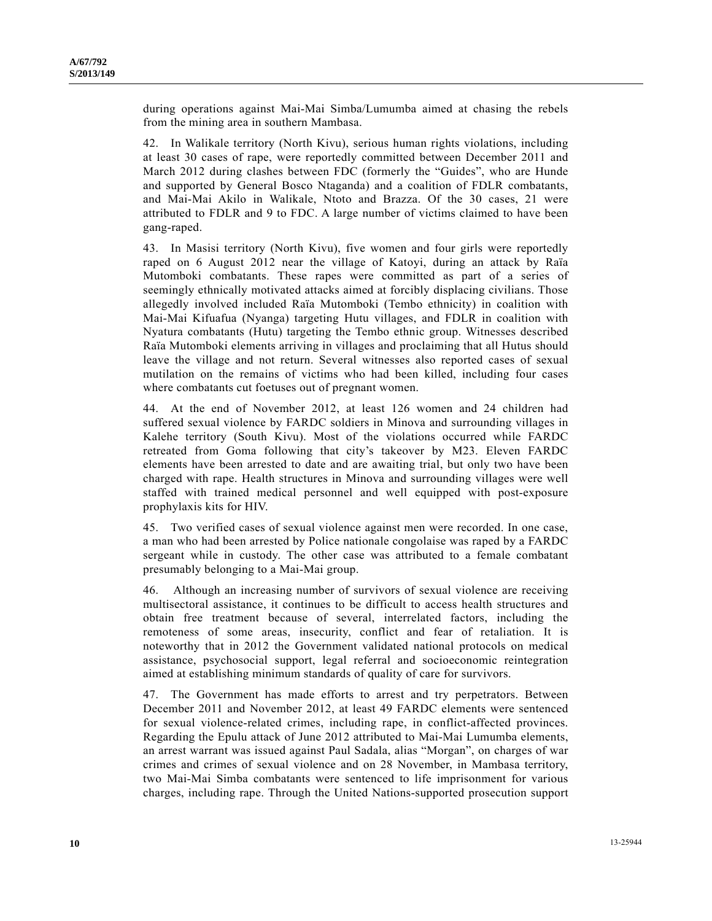during operations against Mai-Mai Simba/Lumumba aimed at chasing the rebels from the mining area in southern Mambasa.

42. In Walikale territory (North Kivu), serious human rights violations, including at least 30 cases of rape, were reportedly committed between December 2011 and March 2012 during clashes between FDC (formerly the "Guides", who are Hunde and supported by General Bosco Ntaganda) and a coalition of FDLR combatants, and Mai-Mai Akilo in Walikale, Ntoto and Brazza. Of the 30 cases, 21 were attributed to FDLR and 9 to FDC. A large number of victims claimed to have been gang-raped.

43. In Masisi territory (North Kivu), five women and four girls were reportedly raped on 6 August 2012 near the village of Katoyi, during an attack by Raïa Mutomboki combatants. These rapes were committed as part of a series of seemingly ethnically motivated attacks aimed at forcibly displacing civilians. Those allegedly involved included Raïa Mutomboki (Tembo ethnicity) in coalition with Mai-Mai Kifuafua (Nyanga) targeting Hutu villages, and FDLR in coalition with Nyatura combatants (Hutu) targeting the Tembo ethnic group. Witnesses described Raïa Mutomboki elements arriving in villages and proclaiming that all Hutus should leave the village and not return. Several witnesses also reported cases of sexual mutilation on the remains of victims who had been killed, including four cases where combatants cut foetuses out of pregnant women.

44. At the end of November 2012, at least 126 women and 24 children had suffered sexual violence by FARDC soldiers in Minova and surrounding villages in Kalehe territory (South Kivu). Most of the violations occurred while FARDC retreated from Goma following that city's takeover by M23. Eleven FARDC elements have been arrested to date and are awaiting trial, but only two have been charged with rape. Health structures in Minova and surrounding villages were well staffed with trained medical personnel and well equipped with post-exposure prophylaxis kits for HIV.

45. Two verified cases of sexual violence against men were recorded. In one case, a man who had been arrested by Police nationale congolaise was raped by a FARDC sergeant while in custody. The other case was attributed to a female combatant presumably belonging to a Mai-Mai group.

46. Although an increasing number of survivors of sexual violence are receiving multisectoral assistance, it continues to be difficult to access health structures and obtain free treatment because of several, interrelated factors, including the remoteness of some areas, insecurity, conflict and fear of retaliation. It is noteworthy that in 2012 the Government validated national protocols on medical assistance, psychosocial support, legal referral and socioeconomic reintegration aimed at establishing minimum standards of quality of care for survivors.

47. The Government has made efforts to arrest and try perpetrators. Between December 2011 and November 2012, at least 49 FARDC elements were sentenced for sexual violence-related crimes, including rape, in conflict-affected provinces. Regarding the Epulu attack of June 2012 attributed to Mai-Mai Lumumba elements, an arrest warrant was issued against Paul Sadala, alias "Morgan", on charges of war crimes and crimes of sexual violence and on 28 November, in Mambasa territory, two Mai-Mai Simba combatants were sentenced to life imprisonment for various charges, including rape. Through the United Nations-supported prosecution support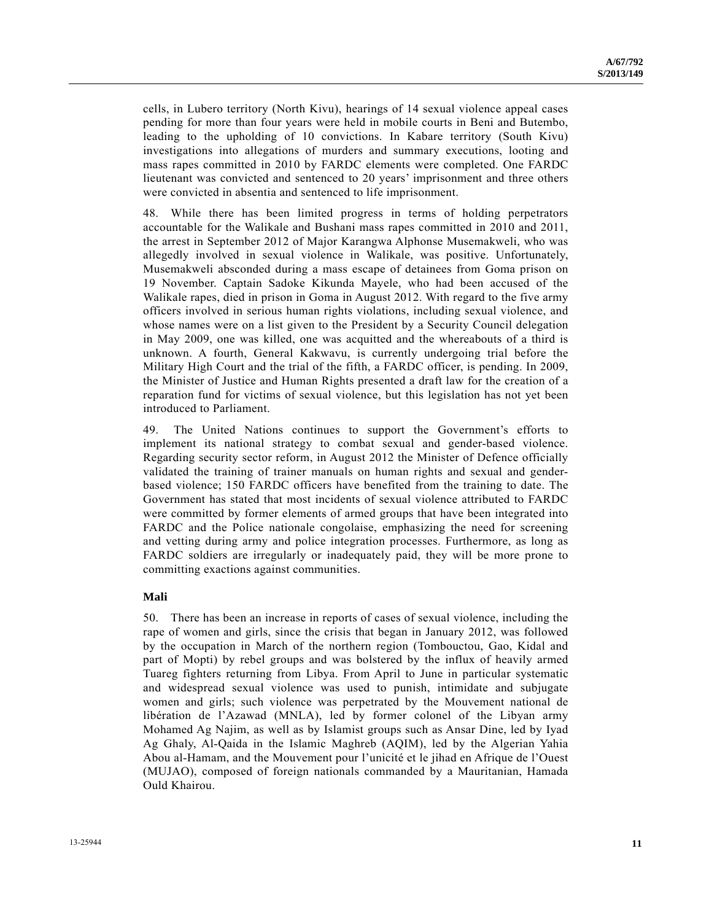cells, in Lubero territory (North Kivu), hearings of 14 sexual violence appeal cases pending for more than four years were held in mobile courts in Beni and Butembo, leading to the upholding of 10 convictions. In Kabare territory (South Kivu) investigations into allegations of murders and summary executions, looting and mass rapes committed in 2010 by FARDC elements were completed. One FARDC lieutenant was convicted and sentenced to 20 years' imprisonment and three others were convicted in absentia and sentenced to life imprisonment.

48. While there has been limited progress in terms of holding perpetrators accountable for the Walikale and Bushani mass rapes committed in 2010 and 2011, the arrest in September 2012 of Major Karangwa Alphonse Musemakweli, who was allegedly involved in sexual violence in Walikale, was positive. Unfortunately, Musemakweli absconded during a mass escape of detainees from Goma prison on 19 November. Captain Sadoke Kikunda Mayele, who had been accused of the Walikale rapes, died in prison in Goma in August 2012. With regard to the five army officers involved in serious human rights violations, including sexual violence, and whose names were on a list given to the President by a Security Council delegation in May 2009, one was killed, one was acquitted and the whereabouts of a third is unknown. A fourth, General Kakwavu, is currently undergoing trial before the Military High Court and the trial of the fifth, a FARDC officer, is pending. In 2009, the Minister of Justice and Human Rights presented a draft law for the creation of a reparation fund for victims of sexual violence, but this legislation has not yet been introduced to Parliament.

49. The United Nations continues to support the Government's efforts to implement its national strategy to combat sexual and gender-based violence. Regarding security sector reform, in August 2012 the Minister of Defence officially validated the training of trainer manuals on human rights and sexual and genderbased violence; 150 FARDC officers have benefited from the training to date. The Government has stated that most incidents of sexual violence attributed to FARDC were committed by former elements of armed groups that have been integrated into FARDC and the Police nationale congolaise, emphasizing the need for screening and vetting during army and police integration processes. Furthermore, as long as FARDC soldiers are irregularly or inadequately paid, they will be more prone to committing exactions against communities.

### **Mali**

50. There has been an increase in reports of cases of sexual violence, including the rape of women and girls, since the crisis that began in January 2012, was followed by the occupation in March of the northern region (Tombouctou, Gao, Kidal and part of Mopti) by rebel groups and was bolstered by the influx of heavily armed Tuareg fighters returning from Libya. From April to June in particular systematic and widespread sexual violence was used to punish, intimidate and subjugate women and girls; such violence was perpetrated by the Mouvement national de libération de l'Azawad (MNLA), led by former colonel of the Libyan army Mohamed Ag Najim, as well as by Islamist groups such as Ansar Dine, led by Iyad Ag Ghaly, Al-Qaida in the Islamic Maghreb (AQIM), led by the Algerian Yahia Abou al-Hamam, and the Mouvement pour l'unicité et le jihad en Afrique de l'Ouest (MUJAO), composed of foreign nationals commanded by a Mauritanian, Hamada Ould Khairou.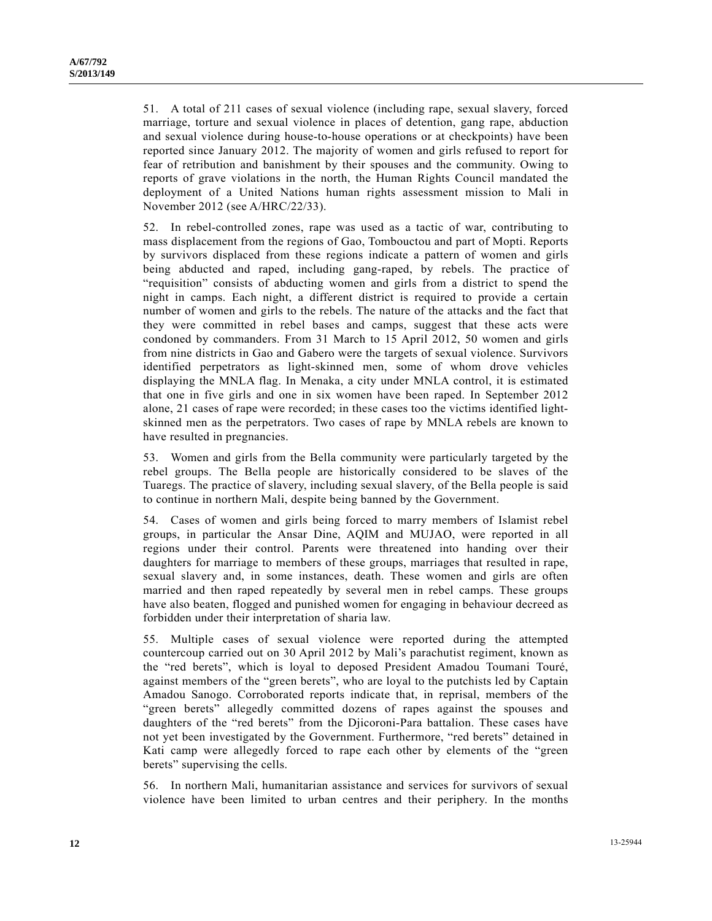51. A total of 211 cases of sexual violence (including rape, sexual slavery, forced marriage, torture and sexual violence in places of detention, gang rape, abduction and sexual violence during house-to-house operations or at checkpoints) have been reported since January 2012. The majority of women and girls refused to report for fear of retribution and banishment by their spouses and the community. Owing to reports of grave violations in the north, the Human Rights Council mandated the deployment of a United Nations human rights assessment mission to Mali in November 2012 (see A/HRC/22/33).

52. In rebel-controlled zones, rape was used as a tactic of war, contributing to mass displacement from the regions of Gao, Tombouctou and part of Mopti. Reports by survivors displaced from these regions indicate a pattern of women and girls being abducted and raped, including gang-raped, by rebels. The practice of "requisition" consists of abducting women and girls from a district to spend the night in camps. Each night, a different district is required to provide a certain number of women and girls to the rebels. The nature of the attacks and the fact that they were committed in rebel bases and camps, suggest that these acts were condoned by commanders. From 31 March to 15 April 2012, 50 women and girls from nine districts in Gao and Gabero were the targets of sexual violence. Survivors identified perpetrators as light-skinned men, some of whom drove vehicles displaying the MNLA flag. In Menaka, a city under MNLA control, it is estimated that one in five girls and one in six women have been raped. In September 2012 alone, 21 cases of rape were recorded; in these cases too the victims identified lightskinned men as the perpetrators. Two cases of rape by MNLA rebels are known to have resulted in pregnancies.

53. Women and girls from the Bella community were particularly targeted by the rebel groups. The Bella people are historically considered to be slaves of the Tuaregs. The practice of slavery, including sexual slavery, of the Bella people is said to continue in northern Mali, despite being banned by the Government.

54. Cases of women and girls being forced to marry members of Islamist rebel groups, in particular the Ansar Dine, AQIM and MUJAO, were reported in all regions under their control. Parents were threatened into handing over their daughters for marriage to members of these groups, marriages that resulted in rape, sexual slavery and, in some instances, death. These women and girls are often married and then raped repeatedly by several men in rebel camps. These groups have also beaten, flogged and punished women for engaging in behaviour decreed as forbidden under their interpretation of sharia law.

55. Multiple cases of sexual violence were reported during the attempted countercoup carried out on 30 April 2012 by Mali's parachutist regiment, known as the "red berets", which is loyal to deposed President Amadou Toumani Touré, against members of the "green berets", who are loyal to the putchists led by Captain Amadou Sanogo. Corroborated reports indicate that, in reprisal, members of the "green berets" allegedly committed dozens of rapes against the spouses and daughters of the "red berets" from the Djicoroni-Para battalion. These cases have not yet been investigated by the Government. Furthermore, "red berets" detained in Kati camp were allegedly forced to rape each other by elements of the "green berets" supervising the cells.

56. In northern Mali, humanitarian assistance and services for survivors of sexual violence have been limited to urban centres and their periphery. In the months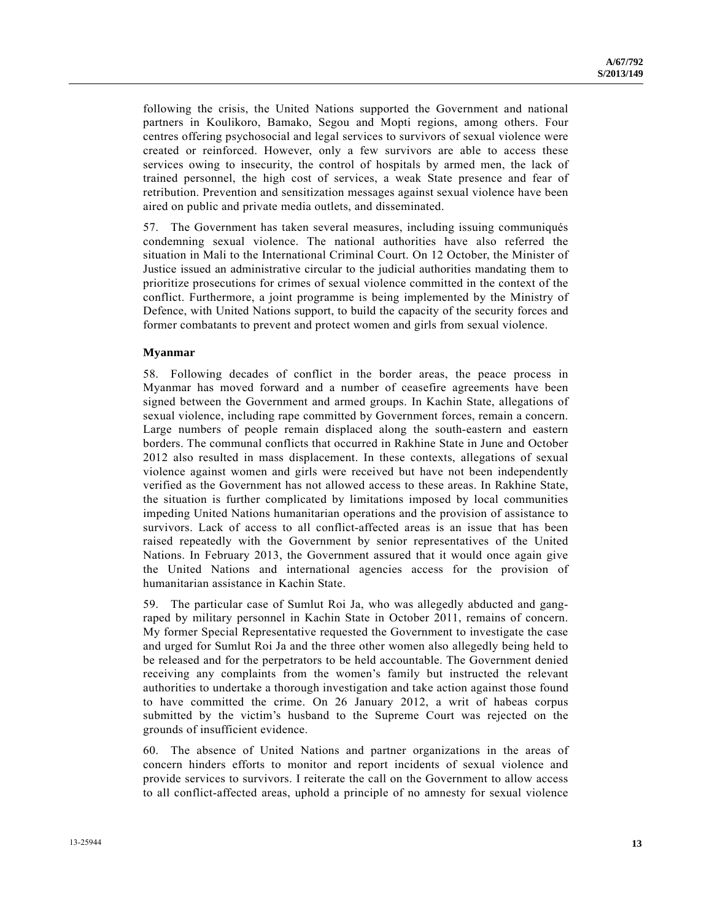following the crisis, the United Nations supported the Government and national partners in Koulikoro, Bamako, Segou and Mopti regions, among others. Four centres offering psychosocial and legal services to survivors of sexual violence were created or reinforced. However, only a few survivors are able to access these services owing to insecurity, the control of hospitals by armed men, the lack of trained personnel, the high cost of services, a weak State presence and fear of retribution. Prevention and sensitization messages against sexual violence have been aired on public and private media outlets, and disseminated.

57. The Government has taken several measures, including issuing communiqués condemning sexual violence. The national authorities have also referred the situation in Mali to the International Criminal Court. On 12 October, the Minister of Justice issued an administrative circular to the judicial authorities mandating them to prioritize prosecutions for crimes of sexual violence committed in the context of the conflict. Furthermore, a joint programme is being implemented by the Ministry of Defence, with United Nations support, to build the capacity of the security forces and former combatants to prevent and protect women and girls from sexual violence.

#### **Myanmar**

58. Following decades of conflict in the border areas, the peace process in Myanmar has moved forward and a number of ceasefire agreements have been signed between the Government and armed groups. In Kachin State, allegations of sexual violence, including rape committed by Government forces, remain a concern. Large numbers of people remain displaced along the south-eastern and eastern borders. The communal conflicts that occurred in Rakhine State in June and October 2012 also resulted in mass displacement. In these contexts, allegations of sexual violence against women and girls were received but have not been independently verified as the Government has not allowed access to these areas. In Rakhine State, the situation is further complicated by limitations imposed by local communities impeding United Nations humanitarian operations and the provision of assistance to survivors. Lack of access to all conflict-affected areas is an issue that has been raised repeatedly with the Government by senior representatives of the United Nations. In February 2013, the Government assured that it would once again give the United Nations and international agencies access for the provision of humanitarian assistance in Kachin State.

59. The particular case of Sumlut Roi Ja, who was allegedly abducted and gangraped by military personnel in Kachin State in October 2011, remains of concern. My former Special Representative requested the Government to investigate the case and urged for Sumlut Roi Ja and the three other women also allegedly being held to be released and for the perpetrators to be held accountable. The Government denied receiving any complaints from the women's family but instructed the relevant authorities to undertake a thorough investigation and take action against those found to have committed the crime. On 26 January 2012, a writ of habeas corpus submitted by the victim's husband to the Supreme Court was rejected on the grounds of insufficient evidence.

60. The absence of United Nations and partner organizations in the areas of concern hinders efforts to monitor and report incidents of sexual violence and provide services to survivors. I reiterate the call on the Government to allow access to all conflict-affected areas, uphold a principle of no amnesty for sexual violence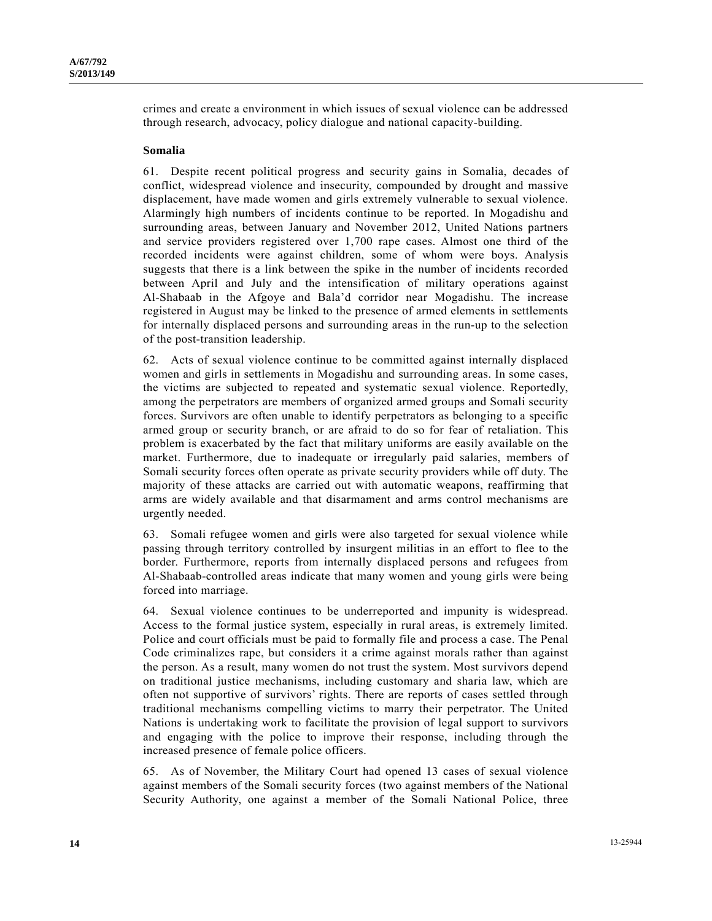crimes and create a environment in which issues of sexual violence can be addressed through research, advocacy, policy dialogue and national capacity-building.

#### **Somalia**

61. Despite recent political progress and security gains in Somalia, decades of conflict, widespread violence and insecurity, compounded by drought and massive displacement, have made women and girls extremely vulnerable to sexual violence. Alarmingly high numbers of incidents continue to be reported. In Mogadishu and surrounding areas, between January and November 2012, United Nations partners and service providers registered over 1,700 rape cases. Almost one third of the recorded incidents were against children, some of whom were boys. Analysis suggests that there is a link between the spike in the number of incidents recorded between April and July and the intensification of military operations against Al-Shabaab in the Afgoye and Bala'd corridor near Mogadishu. The increase registered in August may be linked to the presence of armed elements in settlements for internally displaced persons and surrounding areas in the run-up to the selection of the post-transition leadership.

62. Acts of sexual violence continue to be committed against internally displaced women and girls in settlements in Mogadishu and surrounding areas. In some cases, the victims are subjected to repeated and systematic sexual violence. Reportedly, among the perpetrators are members of organized armed groups and Somali security forces. Survivors are often unable to identify perpetrators as belonging to a specific armed group or security branch, or are afraid to do so for fear of retaliation. This problem is exacerbated by the fact that military uniforms are easily available on the market. Furthermore, due to inadequate or irregularly paid salaries, members of Somali security forces often operate as private security providers while off duty. The majority of these attacks are carried out with automatic weapons, reaffirming that arms are widely available and that disarmament and arms control mechanisms are urgently needed.

63. Somali refugee women and girls were also targeted for sexual violence while passing through territory controlled by insurgent militias in an effort to flee to the border. Furthermore, reports from internally displaced persons and refugees from Al-Shabaab-controlled areas indicate that many women and young girls were being forced into marriage.

64. Sexual violence continues to be underreported and impunity is widespread. Access to the formal justice system, especially in rural areas, is extremely limited. Police and court officials must be paid to formally file and process a case. The Penal Code criminalizes rape, but considers it a crime against morals rather than against the person. As a result, many women do not trust the system. Most survivors depend on traditional justice mechanisms, including customary and sharia law, which are often not supportive of survivors' rights. There are reports of cases settled through traditional mechanisms compelling victims to marry their perpetrator. The United Nations is undertaking work to facilitate the provision of legal support to survivors and engaging with the police to improve their response, including through the increased presence of female police officers.

65. As of November, the Military Court had opened 13 cases of sexual violence against members of the Somali security forces (two against members of the National Security Authority, one against a member of the Somali National Police, three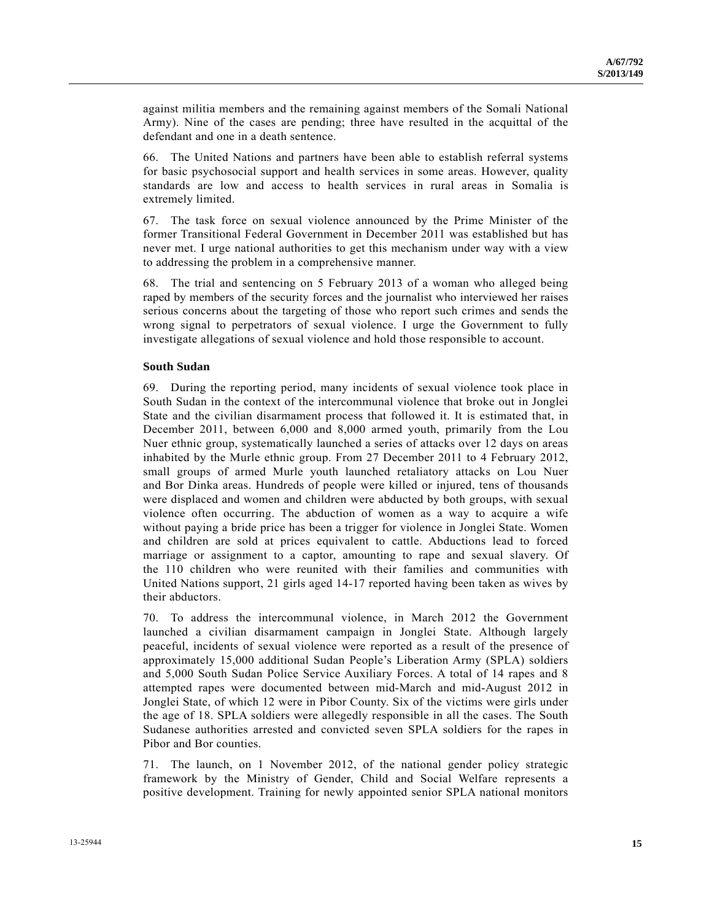against militia members and the remaining against members of the Somali National Army). Nine of the cases are pending; three have resulted in the acquittal of the defendant and one in a death sentence.

66. The United Nations and partners have been able to establish referral systems for basic psychosocial support and health services in some areas. However, quality standards are low and access to health services in rural areas in Somalia is extremely limited.

67. The task force on sexual violence announced by the Prime Minister of the former Transitional Federal Government in December 2011 was established but has never met. I urge national authorities to get this mechanism under way with a view to addressing the problem in a comprehensive manner.

68. The trial and sentencing on 5 February 2013 of a woman who alleged being raped by members of the security forces and the journalist who interviewed her raises serious concerns about the targeting of those who report such crimes and sends the wrong signal to perpetrators of sexual violence. I urge the Government to fully investigate allegations of sexual violence and hold those responsible to account.

#### **South Sudan**

69. During the reporting period, many incidents of sexual violence took place in South Sudan in the context of the intercommunal violence that broke out in Jonglei State and the civilian disarmament process that followed it. It is estimated that, in December 2011, between 6,000 and 8,000 armed youth, primarily from the Lou Nuer ethnic group, systematically launched a series of attacks over 12 days on areas inhabited by the Murle ethnic group. From 27 December 2011 to 4 February 2012, small groups of armed Murle youth launched retaliatory attacks on Lou Nuer and Bor Dinka areas. Hundreds of people were killed or injured, tens of thousands were displaced and women and children were abducted by both groups, with sexual violence often occurring. The abduction of women as a way to acquire a wife without paying a bride price has been a trigger for violence in Jonglei State. Women and children are sold at prices equivalent to cattle. Abductions lead to forced marriage or assignment to a captor, amounting to rape and sexual slavery. Of the 110 children who were reunited with their families and communities with United Nations support, 21 girls aged 14-17 reported having been taken as wives by their abductors.

70. To address the intercommunal violence, in March 2012 the Government launched a civilian disarmament campaign in Jonglei State. Although largely peaceful, incidents of sexual violence were reported as a result of the presence of approximately 15,000 additional Sudan People's Liberation Army (SPLA) soldiers and 5,000 South Sudan Police Service Auxiliary Forces. A total of 14 rapes and 8 attempted rapes were documented between mid-March and mid-August 2012 in Jonglei State, of which 12 were in Pibor County. Six of the victims were girls under the age of 18. SPLA soldiers were allegedly responsible in all the cases. The South Sudanese authorities arrested and convicted seven SPLA soldiers for the rapes in Pibor and Bor counties.

71. The launch, on 1 November 2012, of the national gender policy strategic framework by the Ministry of Gender, Child and Social Welfare represents a positive development. Training for newly appointed senior SPLA national monitors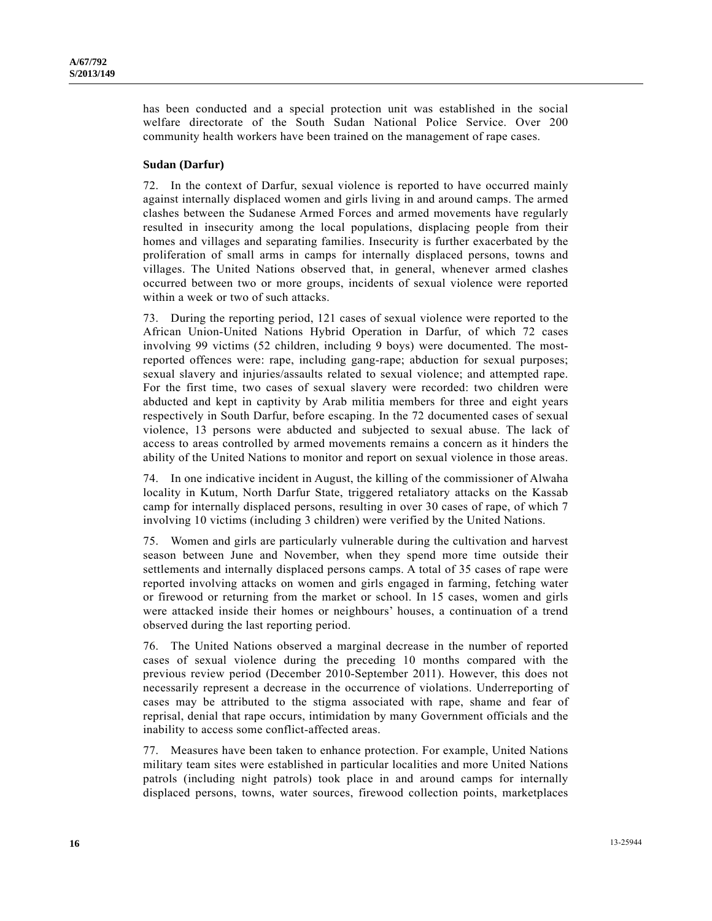has been conducted and a special protection unit was established in the social welfare directorate of the South Sudan National Police Service. Over 200 community health workers have been trained on the management of rape cases.

#### **Sudan (Darfur)**

72. In the context of Darfur, sexual violence is reported to have occurred mainly against internally displaced women and girls living in and around camps. The armed clashes between the Sudanese Armed Forces and armed movements have regularly resulted in insecurity among the local populations, displacing people from their homes and villages and separating families. Insecurity is further exacerbated by the proliferation of small arms in camps for internally displaced persons, towns and villages. The United Nations observed that, in general, whenever armed clashes occurred between two or more groups, incidents of sexual violence were reported within a week or two of such attacks.

73. During the reporting period, 121 cases of sexual violence were reported to the African Union-United Nations Hybrid Operation in Darfur, of which 72 cases involving 99 victims (52 children, including 9 boys) were documented. The mostreported offences were: rape, including gang-rape; abduction for sexual purposes; sexual slavery and injuries/assaults related to sexual violence; and attempted rape. For the first time, two cases of sexual slavery were recorded: two children were abducted and kept in captivity by Arab militia members for three and eight years respectively in South Darfur, before escaping. In the 72 documented cases of sexual violence, 13 persons were abducted and subjected to sexual abuse. The lack of access to areas controlled by armed movements remains a concern as it hinders the ability of the United Nations to monitor and report on sexual violence in those areas.

74. In one indicative incident in August, the killing of the commissioner of Alwaha locality in Kutum, North Darfur State, triggered retaliatory attacks on the Kassab camp for internally displaced persons, resulting in over 30 cases of rape, of which 7 involving 10 victims (including 3 children) were verified by the United Nations.

75. Women and girls are particularly vulnerable during the cultivation and harvest season between June and November, when they spend more time outside their settlements and internally displaced persons camps. A total of 35 cases of rape were reported involving attacks on women and girls engaged in farming, fetching water or firewood or returning from the market or school. In 15 cases, women and girls were attacked inside their homes or neighbours' houses, a continuation of a trend observed during the last reporting period.

76. The United Nations observed a marginal decrease in the number of reported cases of sexual violence during the preceding 10 months compared with the previous review period (December 2010-September 2011). However, this does not necessarily represent a decrease in the occurrence of violations. Underreporting of cases may be attributed to the stigma associated with rape, shame and fear of reprisal, denial that rape occurs, intimidation by many Government officials and the inability to access some conflict-affected areas.

77. Measures have been taken to enhance protection. For example, United Nations military team sites were established in particular localities and more United Nations patrols (including night patrols) took place in and around camps for internally displaced persons, towns, water sources, firewood collection points, marketplaces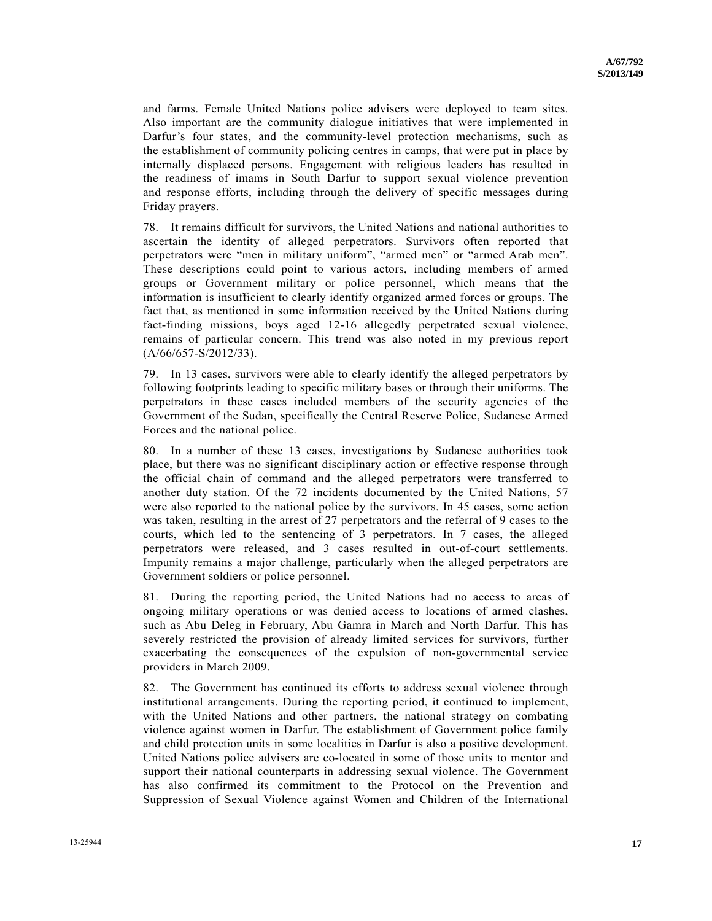and farms. Female United Nations police advisers were deployed to team sites. Also important are the community dialogue initiatives that were implemented in Darfur's four states, and the community-level protection mechanisms, such as the establishment of community policing centres in camps, that were put in place by internally displaced persons. Engagement with religious leaders has resulted in the readiness of imams in South Darfur to support sexual violence prevention and response efforts, including through the delivery of specific messages during Friday prayers.

78. It remains difficult for survivors, the United Nations and national authorities to ascertain the identity of alleged perpetrators. Survivors often reported that perpetrators were "men in military uniform", "armed men" or "armed Arab men". These descriptions could point to various actors, including members of armed groups or Government military or police personnel, which means that the information is insufficient to clearly identify organized armed forces or groups. The fact that, as mentioned in some information received by the United Nations during fact-finding missions, boys aged 12-16 allegedly perpetrated sexual violence, remains of particular concern. This trend was also noted in my previous report (A/66/657-S/2012/33).

79. In 13 cases, survivors were able to clearly identify the alleged perpetrators by following footprints leading to specific military bases or through their uniforms. The perpetrators in these cases included members of the security agencies of the Government of the Sudan, specifically the Central Reserve Police, Sudanese Armed Forces and the national police.

80. In a number of these 13 cases, investigations by Sudanese authorities took place, but there was no significant disciplinary action or effective response through the official chain of command and the alleged perpetrators were transferred to another duty station. Of the 72 incidents documented by the United Nations, 57 were also reported to the national police by the survivors. In 45 cases, some action was taken, resulting in the arrest of 27 perpetrators and the referral of 9 cases to the courts, which led to the sentencing of 3 perpetrators. In 7 cases, the alleged perpetrators were released, and 3 cases resulted in out-of-court settlements. Impunity remains a major challenge, particularly when the alleged perpetrators are Government soldiers or police personnel.

81. During the reporting period, the United Nations had no access to areas of ongoing military operations or was denied access to locations of armed clashes, such as Abu Deleg in February, Abu Gamra in March and North Darfur. This has severely restricted the provision of already limited services for survivors, further exacerbating the consequences of the expulsion of non-governmental service providers in March 2009.

82. The Government has continued its efforts to address sexual violence through institutional arrangements. During the reporting period, it continued to implement, with the United Nations and other partners, the national strategy on combating violence against women in Darfur. The establishment of Government police family and child protection units in some localities in Darfur is also a positive development. United Nations police advisers are co-located in some of those units to mentor and support their national counterparts in addressing sexual violence. The Government has also confirmed its commitment to the Protocol on the Prevention and Suppression of Sexual Violence against Women and Children of the International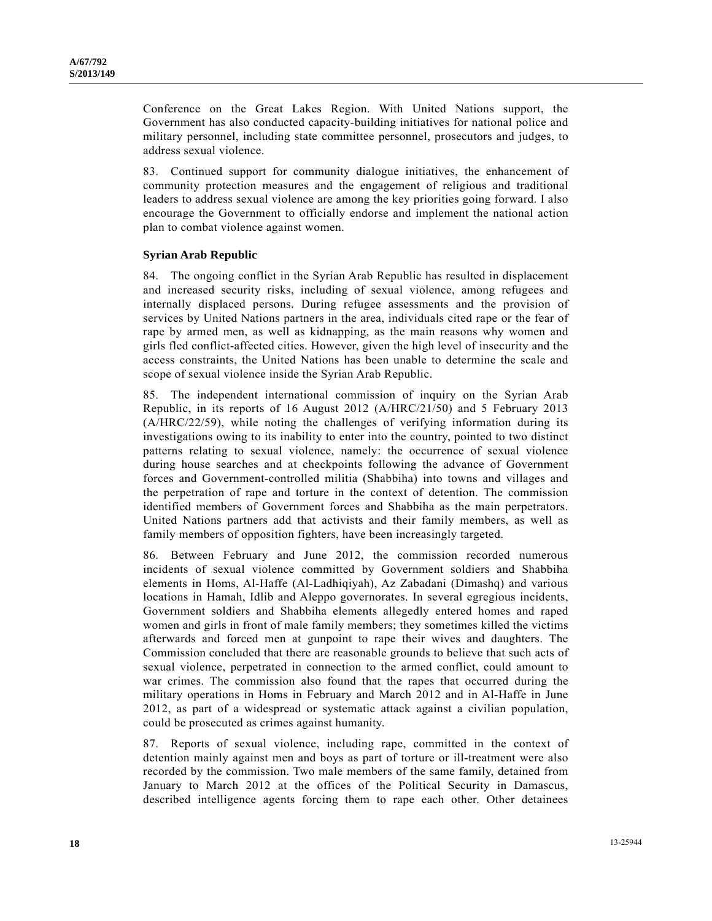Conference on the Great Lakes Region. With United Nations support, the Government has also conducted capacity-building initiatives for national police and military personnel, including state committee personnel, prosecutors and judges, to address sexual violence.

83. Continued support for community dialogue initiatives, the enhancement of community protection measures and the engagement of religious and traditional leaders to address sexual violence are among the key priorities going forward. I also encourage the Government to officially endorse and implement the national action plan to combat violence against women.

#### **Syrian Arab Republic**

84. The ongoing conflict in the Syrian Arab Republic has resulted in displacement and increased security risks, including of sexual violence, among refugees and internally displaced persons. During refugee assessments and the provision of services by United Nations partners in the area, individuals cited rape or the fear of rape by armed men, as well as kidnapping, as the main reasons why women and girls fled conflict-affected cities. However, given the high level of insecurity and the access constraints, the United Nations has been unable to determine the scale and scope of sexual violence inside the Syrian Arab Republic.

85. The independent international commission of inquiry on the Syrian Arab Republic, in its reports of 16 August 2012 (A/HRC/21/50) and 5 February 2013 (A/HRC/22/59), while noting the challenges of verifying information during its investigations owing to its inability to enter into the country, pointed to two distinct patterns relating to sexual violence, namely: the occurrence of sexual violence during house searches and at checkpoints following the advance of Government forces and Government-controlled militia (Shabbiha) into towns and villages and the perpetration of rape and torture in the context of detention. The commission identified members of Government forces and Shabbiha as the main perpetrators. United Nations partners add that activists and their family members, as well as family members of opposition fighters, have been increasingly targeted.

86. Between February and June 2012, the commission recorded numerous incidents of sexual violence committed by Government soldiers and Shabbiha elements in Homs, Al-Haffe (Al-Ladhiqiyah), Az Zabadani (Dimashq) and various locations in Hamah, Idlib and Aleppo governorates. In several egregious incidents, Government soldiers and Shabbiha elements allegedly entered homes and raped women and girls in front of male family members; they sometimes killed the victims afterwards and forced men at gunpoint to rape their wives and daughters. The Commission concluded that there are reasonable grounds to believe that such acts of sexual violence, perpetrated in connection to the armed conflict, could amount to war crimes. The commission also found that the rapes that occurred during the military operations in Homs in February and March 2012 and in Al-Haffe in June 2012, as part of a widespread or systematic attack against a civilian population, could be prosecuted as crimes against humanity.

87. Reports of sexual violence, including rape, committed in the context of detention mainly against men and boys as part of torture or ill-treatment were also recorded by the commission. Two male members of the same family, detained from January to March 2012 at the offices of the Political Security in Damascus, described intelligence agents forcing them to rape each other. Other detainees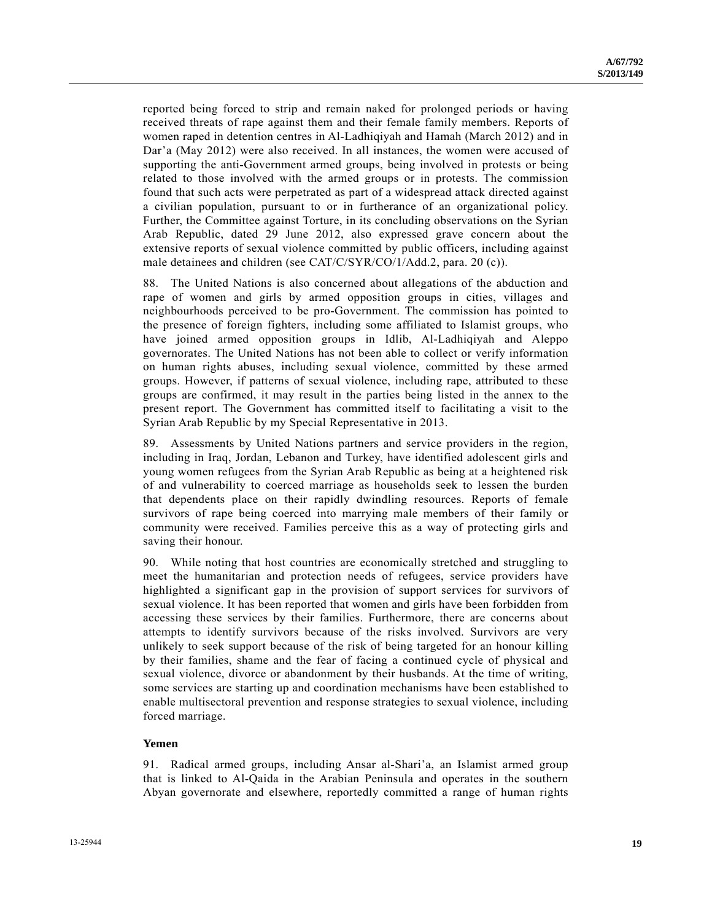reported being forced to strip and remain naked for prolonged periods or having received threats of rape against them and their female family members. Reports of women raped in detention centres in Al-Ladhiqiyah and Hamah (March 2012) and in Dar'a (May 2012) were also received. In all instances, the women were accused of supporting the anti-Government armed groups, being involved in protests or being related to those involved with the armed groups or in protests. The commission found that such acts were perpetrated as part of a widespread attack directed against a civilian population, pursuant to or in furtherance of an organizational policy. Further, the Committee against Torture, in its concluding observations on the Syrian Arab Republic, dated 29 June 2012, also expressed grave concern about the extensive reports of sexual violence committed by public officers, including against male detainees and children (see CAT/C/SYR/CO/1/Add.2, para. 20 (c)).

88. The United Nations is also concerned about allegations of the abduction and rape of women and girls by armed opposition groups in cities, villages and neighbourhoods perceived to be pro-Government. The commission has pointed to the presence of foreign fighters, including some affiliated to Islamist groups, who have joined armed opposition groups in Idlib, Al-Ladhiqiyah and Aleppo governorates. The United Nations has not been able to collect or verify information on human rights abuses, including sexual violence, committed by these armed groups. However, if patterns of sexual violence, including rape, attributed to these groups are confirmed, it may result in the parties being listed in the annex to the present report. The Government has committed itself to facilitating a visit to the Syrian Arab Republic by my Special Representative in 2013.

89. Assessments by United Nations partners and service providers in the region, including in Iraq, Jordan, Lebanon and Turkey, have identified adolescent girls and young women refugees from the Syrian Arab Republic as being at a heightened risk of and vulnerability to coerced marriage as households seek to lessen the burden that dependents place on their rapidly dwindling resources. Reports of female survivors of rape being coerced into marrying male members of their family or community were received. Families perceive this as a way of protecting girls and saving their honour.

90. While noting that host countries are economically stretched and struggling to meet the humanitarian and protection needs of refugees, service providers have highlighted a significant gap in the provision of support services for survivors of sexual violence. It has been reported that women and girls have been forbidden from accessing these services by their families. Furthermore, there are concerns about attempts to identify survivors because of the risks involved. Survivors are very unlikely to seek support because of the risk of being targeted for an honour killing by their families, shame and the fear of facing a continued cycle of physical and sexual violence, divorce or abandonment by their husbands. At the time of writing, some services are starting up and coordination mechanisms have been established to enable multisectoral prevention and response strategies to sexual violence, including forced marriage.

#### **Yemen**

91. Radical armed groups, including Ansar al-Shari'a, an Islamist armed group that is linked to Al-Qaida in the Arabian Peninsula and operates in the southern Abyan governorate and elsewhere, reportedly committed a range of human rights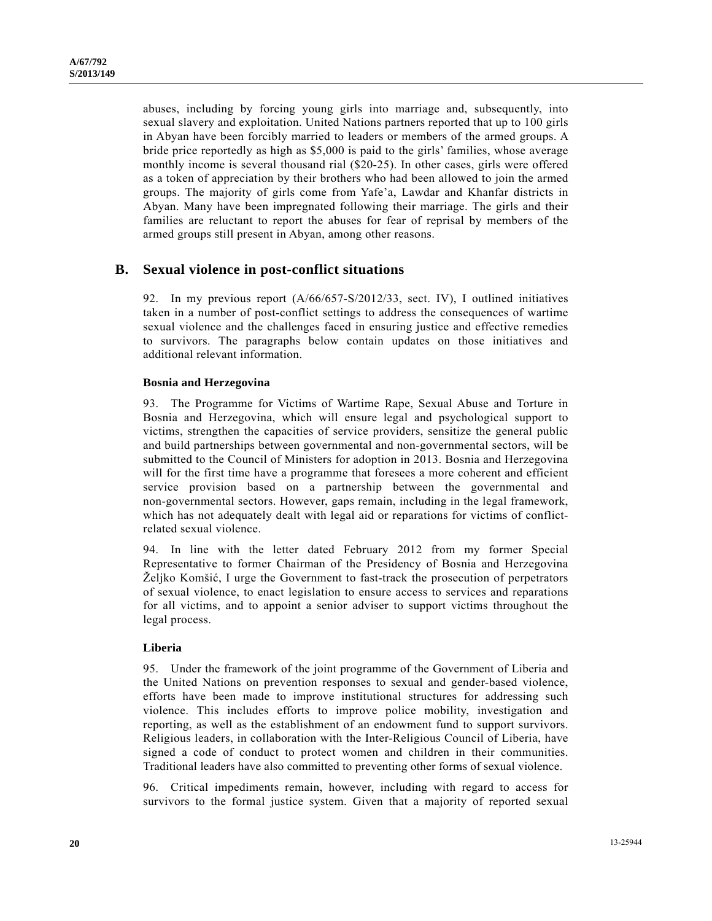abuses, including by forcing young girls into marriage and, subsequently, into sexual slavery and exploitation. United Nations partners reported that up to 100 girls in Abyan have been forcibly married to leaders or members of the armed groups. A bride price reportedly as high as \$5,000 is paid to the girls' families, whose average monthly income is several thousand rial (\$20-25). In other cases, girls were offered as a token of appreciation by their brothers who had been allowed to join the armed groups. The majority of girls come from Yafe'a, Lawdar and Khanfar districts in Abyan. Many have been impregnated following their marriage. The girls and their families are reluctant to report the abuses for fear of reprisal by members of the armed groups still present in Abyan, among other reasons.

### **B. Sexual violence in post-conflict situations**

92. In my previous report (A/66/657-S/2012/33, sect. IV), I outlined initiatives taken in a number of post-conflict settings to address the consequences of wartime sexual violence and the challenges faced in ensuring justice and effective remedies to survivors. The paragraphs below contain updates on those initiatives and additional relevant information.

#### **Bosnia and Herzegovina**

93. The Programme for Victims of Wartime Rape, Sexual Abuse and Torture in Bosnia and Herzegovina, which will ensure legal and psychological support to victims, strengthen the capacities of service providers, sensitize the general public and build partnerships between governmental and non-governmental sectors, will be submitted to the Council of Ministers for adoption in 2013. Bosnia and Herzegovina will for the first time have a programme that foresees a more coherent and efficient service provision based on a partnership between the governmental and non-governmental sectors. However, gaps remain, including in the legal framework, which has not adequately dealt with legal aid or reparations for victims of conflictrelated sexual violence.

94. In line with the letter dated February 2012 from my former Special Representative to former Chairman of the Presidency of Bosnia and Herzegovina Željko Komšić, I urge the Government to fast-track the prosecution of perpetrators of sexual violence, to enact legislation to ensure access to services and reparations for all victims, and to appoint a senior adviser to support victims throughout the legal process.

### **Liberia**

95. Under the framework of the joint programme of the Government of Liberia and the United Nations on prevention responses to sexual and gender-based violence, efforts have been made to improve institutional structures for addressing such violence. This includes efforts to improve police mobility, investigation and reporting, as well as the establishment of an endowment fund to support survivors. Religious leaders, in collaboration with the Inter-Religious Council of Liberia, have signed a code of conduct to protect women and children in their communities. Traditional leaders have also committed to preventing other forms of sexual violence.

96. Critical impediments remain, however, including with regard to access for survivors to the formal justice system. Given that a majority of reported sexual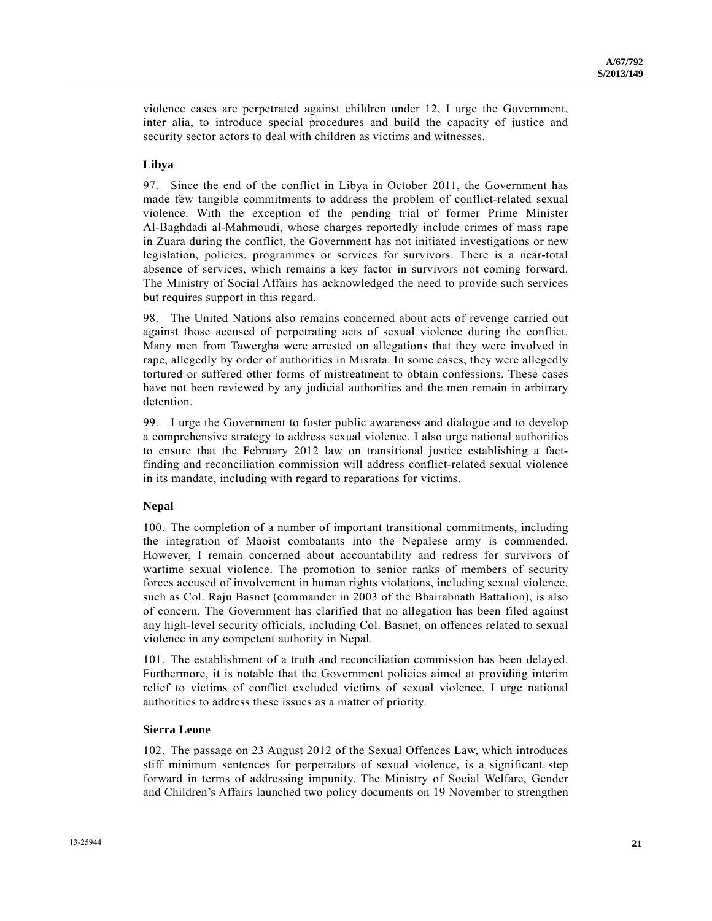violence cases are perpetrated against children under 12, I urge the Government, inter alia, to introduce special procedures and build the capacity of justice and security sector actors to deal with children as victims and witnesses.

### **Libya**

97. Since the end of the conflict in Libya in October 2011, the Government has made few tangible commitments to address the problem of conflict-related sexual violence. With the exception of the pending trial of former Prime Minister Al-Baghdadi al-Mahmoudi, whose charges reportedly include crimes of mass rape in Zuara during the conflict, the Government has not initiated investigations or new legislation, policies, programmes or services for survivors. There is a near-total absence of services, which remains a key factor in survivors not coming forward. The Ministry of Social Affairs has acknowledged the need to provide such services but requires support in this regard.

98. The United Nations also remains concerned about acts of revenge carried out against those accused of perpetrating acts of sexual violence during the conflict. Many men from Tawergha were arrested on allegations that they were involved in rape, allegedly by order of authorities in Misrata. In some cases, they were allegedly tortured or suffered other forms of mistreatment to obtain confessions. These cases have not been reviewed by any judicial authorities and the men remain in arbitrary detention.

99. I urge the Government to foster public awareness and dialogue and to develop a comprehensive strategy to address sexual violence. I also urge national authorities to ensure that the February 2012 law on transitional justice establishing a factfinding and reconciliation commission will address conflict-related sexual violence in its mandate, including with regard to reparations for victims.

### **Nepal**

100. The completion of a number of important transitional commitments, including the integration of Maoist combatants into the Nepalese army is commended. However, I remain concerned about accountability and redress for survivors of wartime sexual violence. The promotion to senior ranks of members of security forces accused of involvement in human rights violations, including sexual violence, such as Col. Raju Basnet (commander in 2003 of the Bhairabnath Battalion), is also of concern. The Government has clarified that no allegation has been filed against any high-level security officials, including Col. Basnet, on offences related to sexual violence in any competent authority in Nepal.

101. The establishment of a truth and reconciliation commission has been delayed. Furthermore, it is notable that the Government policies aimed at providing interim relief to victims of conflict excluded victims of sexual violence. I urge national authorities to address these issues as a matter of priority.

### **Sierra Leone**

102. The passage on 23 August 2012 of the Sexual Offences Law, which introduces stiff minimum sentences for perpetrators of sexual violence, is a significant step forward in terms of addressing impunity. The Ministry of Social Welfare, Gender and Children's Affairs launched two policy documents on 19 November to strengthen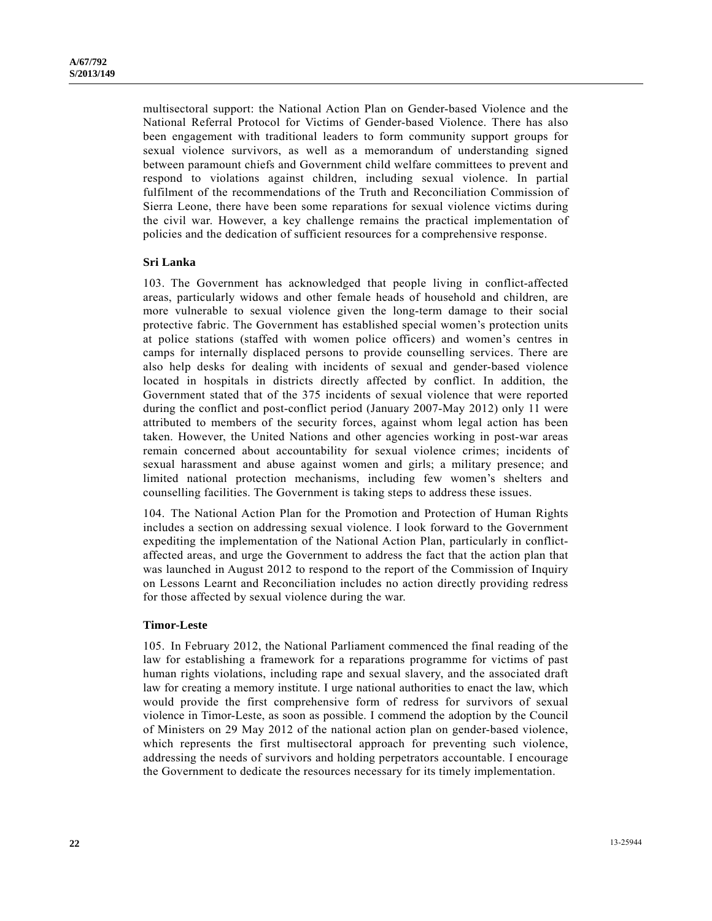multisectoral support: the National Action Plan on Gender-based Violence and the National Referral Protocol for Victims of Gender-based Violence. There has also been engagement with traditional leaders to form community support groups for sexual violence survivors, as well as a memorandum of understanding signed between paramount chiefs and Government child welfare committees to prevent and respond to violations against children, including sexual violence. In partial fulfilment of the recommendations of the Truth and Reconciliation Commission of Sierra Leone, there have been some reparations for sexual violence victims during the civil war. However, a key challenge remains the practical implementation of policies and the dedication of sufficient resources for a comprehensive response.

#### **Sri Lanka**

103. The Government has acknowledged that people living in conflict-affected areas, particularly widows and other female heads of household and children, are more vulnerable to sexual violence given the long-term damage to their social protective fabric. The Government has established special women's protection units at police stations (staffed with women police officers) and women's centres in camps for internally displaced persons to provide counselling services. There are also help desks for dealing with incidents of sexual and gender-based violence located in hospitals in districts directly affected by conflict. In addition, the Government stated that of the 375 incidents of sexual violence that were reported during the conflict and post-conflict period (January 2007-May 2012) only 11 were attributed to members of the security forces, against whom legal action has been taken. However, the United Nations and other agencies working in post-war areas remain concerned about accountability for sexual violence crimes; incidents of sexual harassment and abuse against women and girls; a military presence; and limited national protection mechanisms, including few women's shelters and counselling facilities. The Government is taking steps to address these issues.

104. The National Action Plan for the Promotion and Protection of Human Rights includes a section on addressing sexual violence. I look forward to the Government expediting the implementation of the National Action Plan, particularly in conflictaffected areas, and urge the Government to address the fact that the action plan that was launched in August 2012 to respond to the report of the Commission of Inquiry on Lessons Learnt and Reconciliation includes no action directly providing redress for those affected by sexual violence during the war.

#### **Timor-Leste**

105. In February 2012, the National Parliament commenced the final reading of the law for establishing a framework for a reparations programme for victims of past human rights violations, including rape and sexual slavery, and the associated draft law for creating a memory institute. I urge national authorities to enact the law, which would provide the first comprehensive form of redress for survivors of sexual violence in Timor-Leste, as soon as possible. I commend the adoption by the Council of Ministers on 29 May 2012 of the national action plan on gender-based violence, which represents the first multisectoral approach for preventing such violence, addressing the needs of survivors and holding perpetrators accountable. I encourage the Government to dedicate the resources necessary for its timely implementation.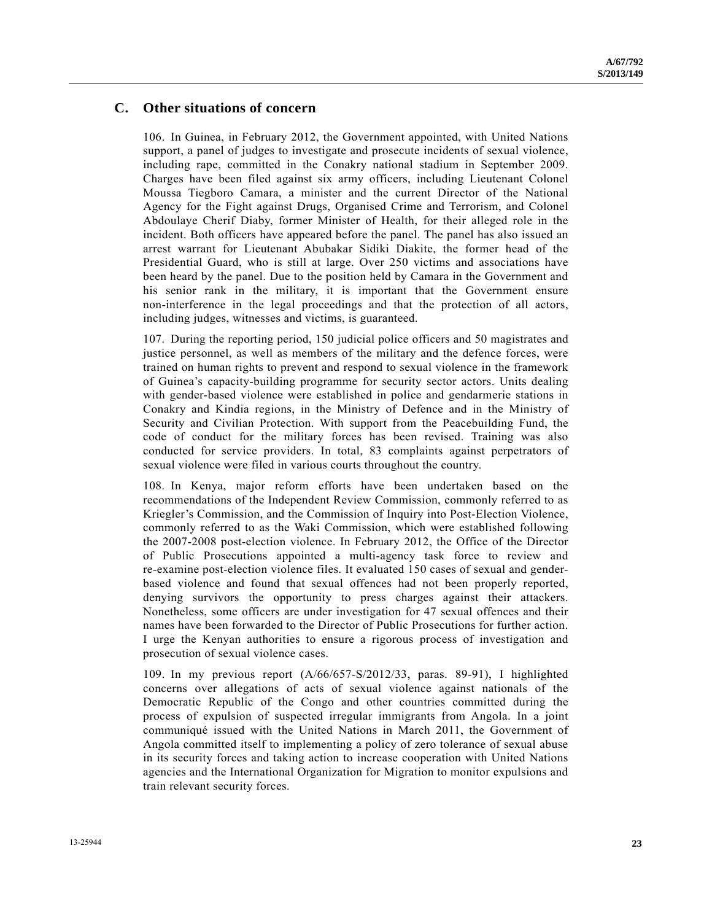## **C. Other situations of concern**

106. In Guinea, in February 2012, the Government appointed, with United Nations support, a panel of judges to investigate and prosecute incidents of sexual violence, including rape, committed in the Conakry national stadium in September 2009. Charges have been filed against six army officers, including Lieutenant Colonel Moussa Tiegboro Camara, a minister and the current Director of the National Agency for the Fight against Drugs, Organised Crime and Terrorism, and Colonel Abdoulaye Cherif Diaby, former Minister of Health, for their alleged role in the incident. Both officers have appeared before the panel. The panel has also issued an arrest warrant for Lieutenant Abubakar Sidiki Diakite, the former head of the Presidential Guard, who is still at large. Over 250 victims and associations have been heard by the panel. Due to the position held by Camara in the Government and his senior rank in the military, it is important that the Government ensure non-interference in the legal proceedings and that the protection of all actors, including judges, witnesses and victims, is guaranteed.

107. During the reporting period, 150 judicial police officers and 50 magistrates and justice personnel, as well as members of the military and the defence forces, were trained on human rights to prevent and respond to sexual violence in the framework of Guinea's capacity-building programme for security sector actors. Units dealing with gender-based violence were established in police and gendarmerie stations in Conakry and Kindia regions, in the Ministry of Defence and in the Ministry of Security and Civilian Protection. With support from the Peacebuilding Fund, the code of conduct for the military forces has been revised. Training was also conducted for service providers. In total, 83 complaints against perpetrators of sexual violence were filed in various courts throughout the country.

108. In Kenya, major reform efforts have been undertaken based on the recommendations of the Independent Review Commission, commonly referred to as Kriegler's Commission, and the Commission of Inquiry into Post-Election Violence, commonly referred to as the Waki Commission, which were established following the 2007-2008 post-election violence. In February 2012, the Office of the Director of Public Prosecutions appointed a multi-agency task force to review and re-examine post-election violence files. It evaluated 150 cases of sexual and genderbased violence and found that sexual offences had not been properly reported, denying survivors the opportunity to press charges against their attackers. Nonetheless, some officers are under investigation for 47 sexual offences and their names have been forwarded to the Director of Public Prosecutions for further action. I urge the Kenyan authorities to ensure a rigorous process of investigation and prosecution of sexual violence cases.

109. In my previous report (A/66/657-S/2012/33, paras. 89-91), I highlighted concerns over allegations of acts of sexual violence against nationals of the Democratic Republic of the Congo and other countries committed during the process of expulsion of suspected irregular immigrants from Angola. In a joint communiqué issued with the United Nations in March 2011, the Government of Angola committed itself to implementing a policy of zero tolerance of sexual abuse in its security forces and taking action to increase cooperation with United Nations agencies and the International Organization for Migration to monitor expulsions and train relevant security forces.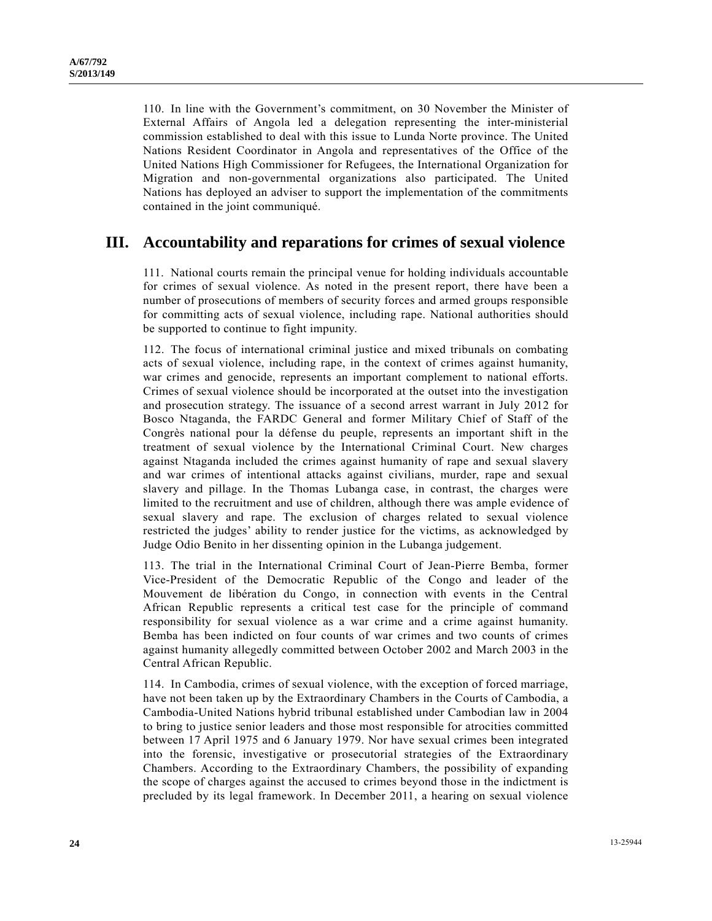110. In line with the Government's commitment, on 30 November the Minister of External Affairs of Angola led a delegation representing the inter-ministerial commission established to deal with this issue to Lunda Norte province. The United Nations Resident Coordinator in Angola and representatives of the Office of the United Nations High Commissioner for Refugees, the International Organization for Migration and non-governmental organizations also participated. The United Nations has deployed an adviser to support the implementation of the commitments contained in the joint communiqué.

# **III. Accountability and reparations for crimes of sexual violence**

111. National courts remain the principal venue for holding individuals accountable for crimes of sexual violence. As noted in the present report, there have been a number of prosecutions of members of security forces and armed groups responsible for committing acts of sexual violence, including rape. National authorities should be supported to continue to fight impunity.

112. The focus of international criminal justice and mixed tribunals on combating acts of sexual violence, including rape, in the context of crimes against humanity, war crimes and genocide, represents an important complement to national efforts. Crimes of sexual violence should be incorporated at the outset into the investigation and prosecution strategy. The issuance of a second arrest warrant in July 2012 for Bosco Ntaganda, the FARDC General and former Military Chief of Staff of the Congrès national pour la défense du peuple, represents an important shift in the treatment of sexual violence by the International Criminal Court. New charges against Ntaganda included the crimes against humanity of rape and sexual slavery and war crimes of intentional attacks against civilians, murder, rape and sexual slavery and pillage. In the Thomas Lubanga case, in contrast, the charges were limited to the recruitment and use of children, although there was ample evidence of sexual slavery and rape. The exclusion of charges related to sexual violence restricted the judges' ability to render justice for the victims, as acknowledged by Judge Odio Benito in her dissenting opinion in the Lubanga judgement.

113. The trial in the International Criminal Court of Jean-Pierre Bemba, former Vice-President of the Democratic Republic of the Congo and leader of the Mouvement de libération du Congo, in connection with events in the Central African Republic represents a critical test case for the principle of command responsibility for sexual violence as a war crime and a crime against humanity. Bemba has been indicted on four counts of war crimes and two counts of crimes against humanity allegedly committed between October 2002 and March 2003 in the Central African Republic.

114. In Cambodia, crimes of sexual violence, with the exception of forced marriage, have not been taken up by the Extraordinary Chambers in the Courts of Cambodia, a Cambodia-United Nations hybrid tribunal established under Cambodian law in 2004 to bring to justice senior leaders and those most responsible for atrocities committed between 17 April 1975 and 6 January 1979. Nor have sexual crimes been integrated into the forensic, investigative or prosecutorial strategies of the Extraordinary Chambers. According to the Extraordinary Chambers, the possibility of expanding the scope of charges against the accused to crimes beyond those in the indictment is precluded by its legal framework. In December 2011, a hearing on sexual violence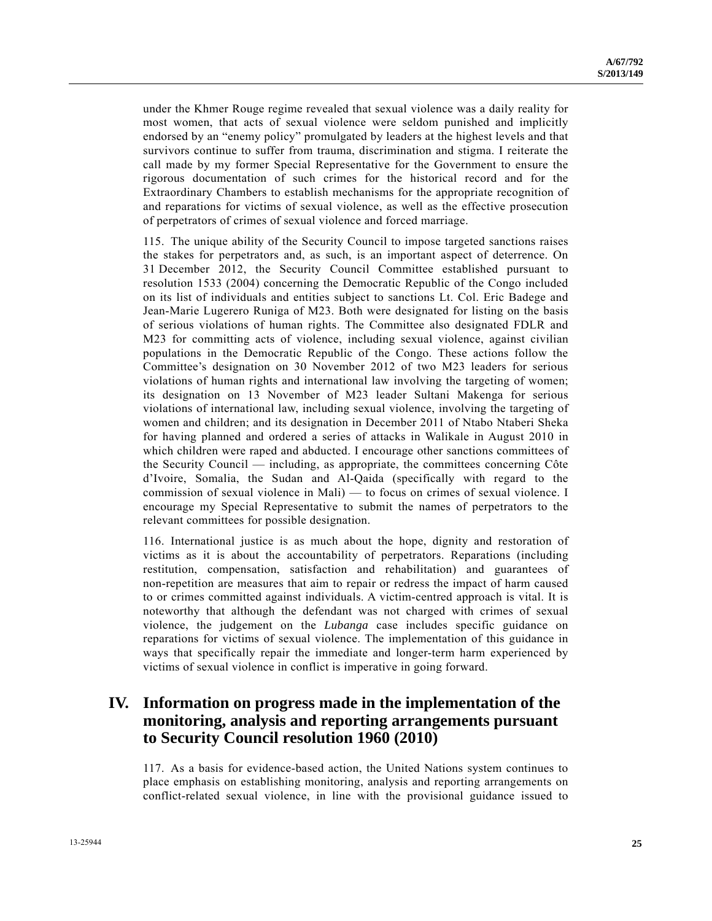under the Khmer Rouge regime revealed that sexual violence was a daily reality for most women, that acts of sexual violence were seldom punished and implicitly endorsed by an "enemy policy" promulgated by leaders at the highest levels and that survivors continue to suffer from trauma, discrimination and stigma. I reiterate the call made by my former Special Representative for the Government to ensure the rigorous documentation of such crimes for the historical record and for the Extraordinary Chambers to establish mechanisms for the appropriate recognition of and reparations for victims of sexual violence, as well as the effective prosecution of perpetrators of crimes of sexual violence and forced marriage.

115. The unique ability of the Security Council to impose targeted sanctions raises the stakes for perpetrators and, as such, is an important aspect of deterrence. On 31 December 2012, the Security Council Committee established pursuant to resolution 1533 (2004) concerning the Democratic Republic of the Congo included on its list of individuals and entities subject to sanctions Lt. Col. Eric Badege and Jean-Marie Lugerero Runiga of M23. Both were designated for listing on the basis of serious violations of human rights. The Committee also designated FDLR and M23 for committing acts of violence, including sexual violence, against civilian populations in the Democratic Republic of the Congo. These actions follow the Committee's designation on 30 November 2012 of two M23 leaders for serious violations of human rights and international law involving the targeting of women; its designation on 13 November of M23 leader Sultani Makenga for serious violations of international law, including sexual violence, involving the targeting of women and children; and its designation in December 2011 of Ntabo Ntaberi Sheka for having planned and ordered a series of attacks in Walikale in August 2010 in which children were raped and abducted. I encourage other sanctions committees of the Security Council — including, as appropriate, the committees concerning Côte d'Ivoire, Somalia, the Sudan and Al-Qaida (specifically with regard to the commission of sexual violence in Mali) — to focus on crimes of sexual violence. I encourage my Special Representative to submit the names of perpetrators to the relevant committees for possible designation.

116. International justice is as much about the hope, dignity and restoration of victims as it is about the accountability of perpetrators. Reparations (including restitution, compensation, satisfaction and rehabilitation) and guarantees of non-repetition are measures that aim to repair or redress the impact of harm caused to or crimes committed against individuals. A victim-centred approach is vital. It is noteworthy that although the defendant was not charged with crimes of sexual violence, the judgement on the *Lubanga* case includes specific guidance on reparations for victims of sexual violence. The implementation of this guidance in ways that specifically repair the immediate and longer-term harm experienced by victims of sexual violence in conflict is imperative in going forward.

# **IV. Information on progress made in the implementation of the monitoring, analysis and reporting arrangements pursuant to Security Council resolution 1960 (2010)**

117. As a basis for evidence-based action, the United Nations system continues to place emphasis on establishing monitoring, analysis and reporting arrangements on conflict-related sexual violence, in line with the provisional guidance issued to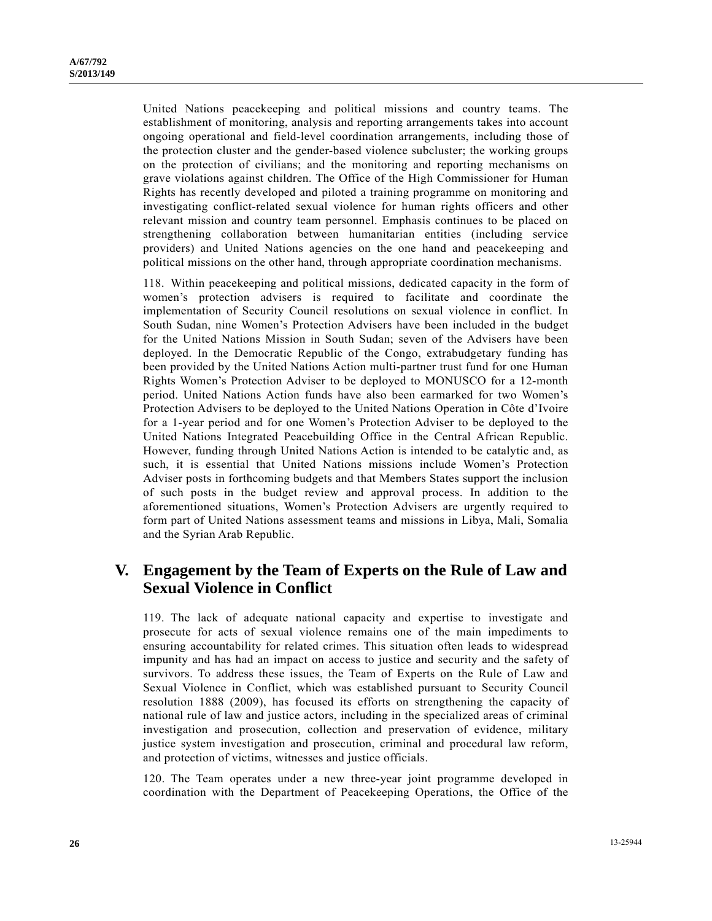United Nations peacekeeping and political missions and country teams. The establishment of monitoring, analysis and reporting arrangements takes into account ongoing operational and field-level coordination arrangements, including those of the protection cluster and the gender-based violence subcluster; the working groups on the protection of civilians; and the monitoring and reporting mechanisms on grave violations against children. The Office of the High Commissioner for Human Rights has recently developed and piloted a training programme on monitoring and investigating conflict-related sexual violence for human rights officers and other relevant mission and country team personnel. Emphasis continues to be placed on strengthening collaboration between humanitarian entities (including service providers) and United Nations agencies on the one hand and peacekeeping and political missions on the other hand, through appropriate coordination mechanisms.

118. Within peacekeeping and political missions, dedicated capacity in the form of women's protection advisers is required to facilitate and coordinate the implementation of Security Council resolutions on sexual violence in conflict. In South Sudan, nine Women's Protection Advisers have been included in the budget for the United Nations Mission in South Sudan; seven of the Advisers have been deployed. In the Democratic Republic of the Congo, extrabudgetary funding has been provided by the United Nations Action multi-partner trust fund for one Human Rights Women's Protection Adviser to be deployed to MONUSCO for a 12-month period. United Nations Action funds have also been earmarked for two Women's Protection Advisers to be deployed to the United Nations Operation in Côte d'Ivoire for a 1-year period and for one Women's Protection Adviser to be deployed to the United Nations Integrated Peacebuilding Office in the Central African Republic. However, funding through United Nations Action is intended to be catalytic and, as such, it is essential that United Nations missions include Women's Protection Adviser posts in forthcoming budgets and that Members States support the inclusion of such posts in the budget review and approval process. In addition to the aforementioned situations, Women's Protection Advisers are urgently required to form part of United Nations assessment teams and missions in Libya, Mali, Somalia and the Syrian Arab Republic.

# **V. Engagement by the Team of Experts on the Rule of Law and Sexual Violence in Conflict**

119. The lack of adequate national capacity and expertise to investigate and prosecute for acts of sexual violence remains one of the main impediments to ensuring accountability for related crimes. This situation often leads to widespread impunity and has had an impact on access to justice and security and the safety of survivors. To address these issues, the Team of Experts on the Rule of Law and Sexual Violence in Conflict, which was established pursuant to Security Council resolution 1888 (2009), has focused its efforts on strengthening the capacity of national rule of law and justice actors, including in the specialized areas of criminal investigation and prosecution, collection and preservation of evidence, military justice system investigation and prosecution, criminal and procedural law reform, and protection of victims, witnesses and justice officials.

120. The Team operates under a new three-year joint programme developed in coordination with the Department of Peacekeeping Operations, the Office of the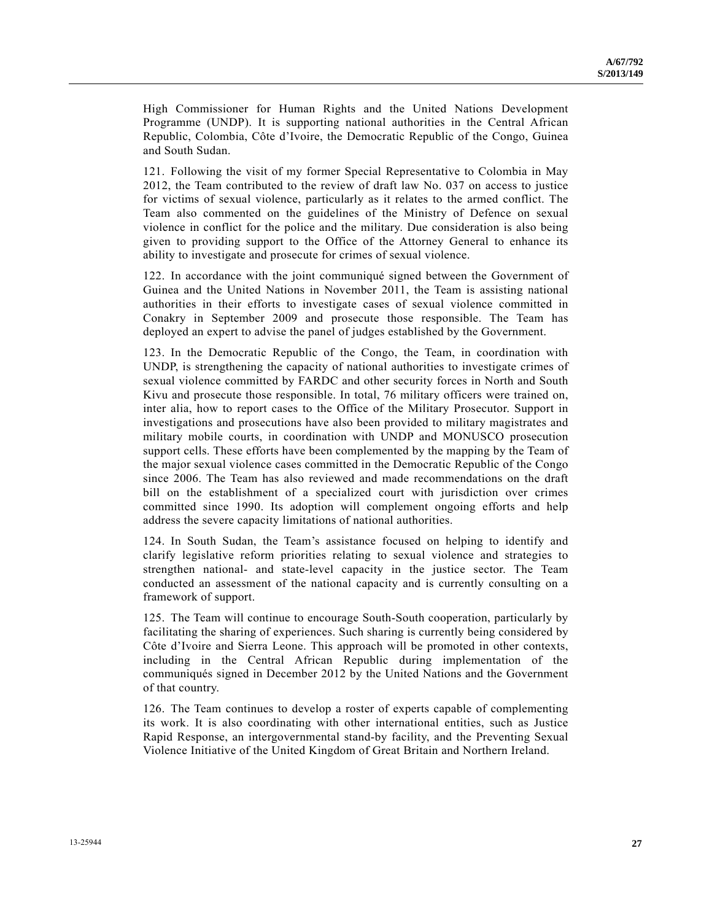High Commissioner for Human Rights and the United Nations Development Programme (UNDP). It is supporting national authorities in the Central African Republic, Colombia, Côte d'Ivoire, the Democratic Republic of the Congo, Guinea and South Sudan.

121. Following the visit of my former Special Representative to Colombia in May 2012, the Team contributed to the review of draft law No. 037 on access to justice for victims of sexual violence, particularly as it relates to the armed conflict. The Team also commented on the guidelines of the Ministry of Defence on sexual violence in conflict for the police and the military. Due consideration is also being given to providing support to the Office of the Attorney General to enhance its ability to investigate and prosecute for crimes of sexual violence.

122. In accordance with the joint communiqué signed between the Government of Guinea and the United Nations in November 2011, the Team is assisting national authorities in their efforts to investigate cases of sexual violence committed in Conakry in September 2009 and prosecute those responsible. The Team has deployed an expert to advise the panel of judges established by the Government.

123. In the Democratic Republic of the Congo, the Team, in coordination with UNDP, is strengthening the capacity of national authorities to investigate crimes of sexual violence committed by FARDC and other security forces in North and South Kivu and prosecute those responsible. In total, 76 military officers were trained on, inter alia, how to report cases to the Office of the Military Prosecutor. Support in investigations and prosecutions have also been provided to military magistrates and military mobile courts, in coordination with UNDP and MONUSCO prosecution support cells. These efforts have been complemented by the mapping by the Team of the major sexual violence cases committed in the Democratic Republic of the Congo since 2006. The Team has also reviewed and made recommendations on the draft bill on the establishment of a specialized court with jurisdiction over crimes committed since 1990. Its adoption will complement ongoing efforts and help address the severe capacity limitations of national authorities.

124. In South Sudan, the Team's assistance focused on helping to identify and clarify legislative reform priorities relating to sexual violence and strategies to strengthen national- and state-level capacity in the justice sector. The Team conducted an assessment of the national capacity and is currently consulting on a framework of support.

125. The Team will continue to encourage South-South cooperation, particularly by facilitating the sharing of experiences. Such sharing is currently being considered by Côte d'Ivoire and Sierra Leone. This approach will be promoted in other contexts, including in the Central African Republic during implementation of the communiqués signed in December 2012 by the United Nations and the Government of that country.

126. The Team continues to develop a roster of experts capable of complementing its work. It is also coordinating with other international entities, such as Justice Rapid Response, an intergovernmental stand-by facility, and the Preventing Sexual Violence Initiative of the United Kingdom of Great Britain and Northern Ireland.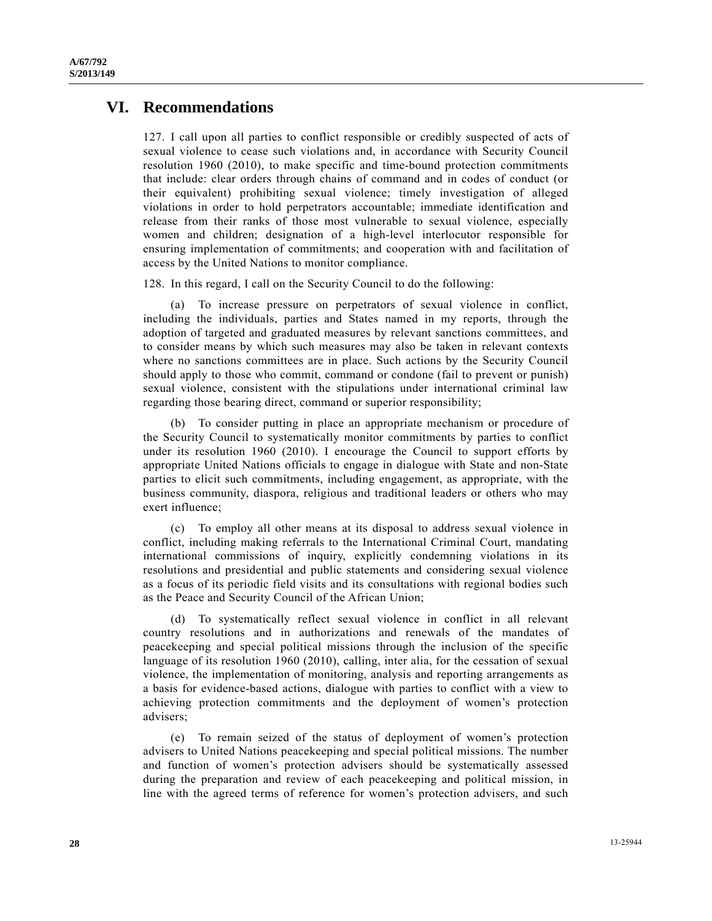## **VI. Recommendations**

127. I call upon all parties to conflict responsible or credibly suspected of acts of sexual violence to cease such violations and, in accordance with Security Council resolution 1960 (2010), to make specific and time-bound protection commitments that include: clear orders through chains of command and in codes of conduct (or their equivalent) prohibiting sexual violence; timely investigation of alleged violations in order to hold perpetrators accountable; immediate identification and release from their ranks of those most vulnerable to sexual violence, especially women and children; designation of a high-level interlocutor responsible for ensuring implementation of commitments; and cooperation with and facilitation of access by the United Nations to monitor compliance.

128. In this regard, I call on the Security Council to do the following:

 (a) To increase pressure on perpetrators of sexual violence in conflict, including the individuals, parties and States named in my reports, through the adoption of targeted and graduated measures by relevant sanctions committees, and to consider means by which such measures may also be taken in relevant contexts where no sanctions committees are in place. Such actions by the Security Council should apply to those who commit, command or condone (fail to prevent or punish) sexual violence, consistent with the stipulations under international criminal law regarding those bearing direct, command or superior responsibility;

 (b) To consider putting in place an appropriate mechanism or procedure of the Security Council to systematically monitor commitments by parties to conflict under its resolution 1960 (2010). I encourage the Council to support efforts by appropriate United Nations officials to engage in dialogue with State and non-State parties to elicit such commitments, including engagement, as appropriate, with the business community, diaspora, religious and traditional leaders or others who may exert influence;

 (c) To employ all other means at its disposal to address sexual violence in conflict, including making referrals to the International Criminal Court, mandating international commissions of inquiry, explicitly condemning violations in its resolutions and presidential and public statements and considering sexual violence as a focus of its periodic field visits and its consultations with regional bodies such as the Peace and Security Council of the African Union;

 (d) To systematically reflect sexual violence in conflict in all relevant country resolutions and in authorizations and renewals of the mandates of peacekeeping and special political missions through the inclusion of the specific language of its resolution 1960 (2010), calling, inter alia, for the cessation of sexual violence, the implementation of monitoring, analysis and reporting arrangements as a basis for evidence-based actions, dialogue with parties to conflict with a view to achieving protection commitments and the deployment of women's protection advisers;

 (e) To remain seized of the status of deployment of women's protection advisers to United Nations peacekeeping and special political missions. The number and function of women's protection advisers should be systematically assessed during the preparation and review of each peacekeeping and political mission, in line with the agreed terms of reference for women's protection advisers, and such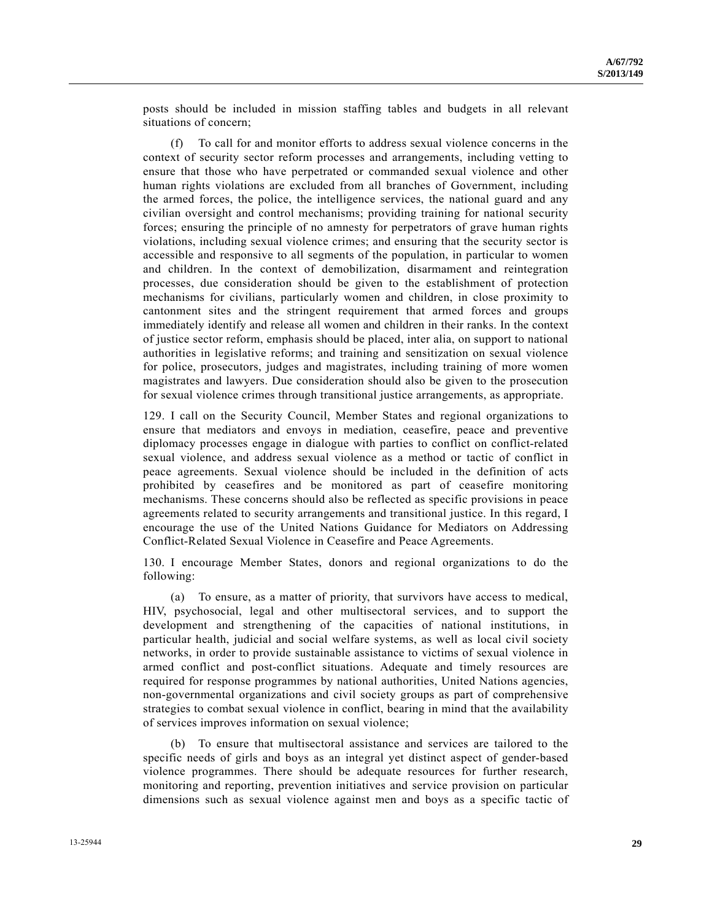posts should be included in mission staffing tables and budgets in all relevant situations of concern;

 (f) To call for and monitor efforts to address sexual violence concerns in the context of security sector reform processes and arrangements, including vetting to ensure that those who have perpetrated or commanded sexual violence and other human rights violations are excluded from all branches of Government, including the armed forces, the police, the intelligence services, the national guard and any civilian oversight and control mechanisms; providing training for national security forces; ensuring the principle of no amnesty for perpetrators of grave human rights violations, including sexual violence crimes; and ensuring that the security sector is accessible and responsive to all segments of the population, in particular to women and children. In the context of demobilization, disarmament and reintegration processes, due consideration should be given to the establishment of protection mechanisms for civilians, particularly women and children, in close proximity to cantonment sites and the stringent requirement that armed forces and groups immediately identify and release all women and children in their ranks. In the context of justice sector reform, emphasis should be placed, inter alia, on support to national authorities in legislative reforms; and training and sensitization on sexual violence for police, prosecutors, judges and magistrates, including training of more women magistrates and lawyers. Due consideration should also be given to the prosecution for sexual violence crimes through transitional justice arrangements, as appropriate.

129. I call on the Security Council, Member States and regional organizations to ensure that mediators and envoys in mediation, ceasefire, peace and preventive diplomacy processes engage in dialogue with parties to conflict on conflict-related sexual violence, and address sexual violence as a method or tactic of conflict in peace agreements. Sexual violence should be included in the definition of acts prohibited by ceasefires and be monitored as part of ceasefire monitoring mechanisms. These concerns should also be reflected as specific provisions in peace agreements related to security arrangements and transitional justice. In this regard, I encourage the use of the United Nations Guidance for Mediators on Addressing Conflict-Related Sexual Violence in Ceasefire and Peace Agreements.

130. I encourage Member States, donors and regional organizations to do the following:

 (a) To ensure, as a matter of priority, that survivors have access to medical, HIV, psychosocial, legal and other multisectoral services, and to support the development and strengthening of the capacities of national institutions, in particular health, judicial and social welfare systems, as well as local civil society networks, in order to provide sustainable assistance to victims of sexual violence in armed conflict and post-conflict situations. Adequate and timely resources are required for response programmes by national authorities, United Nations agencies, non-governmental organizations and civil society groups as part of comprehensive strategies to combat sexual violence in conflict, bearing in mind that the availability of services improves information on sexual violence;

 (b) To ensure that multisectoral assistance and services are tailored to the specific needs of girls and boys as an integral yet distinct aspect of gender-based violence programmes. There should be adequate resources for further research, monitoring and reporting, prevention initiatives and service provision on particular dimensions such as sexual violence against men and boys as a specific tactic of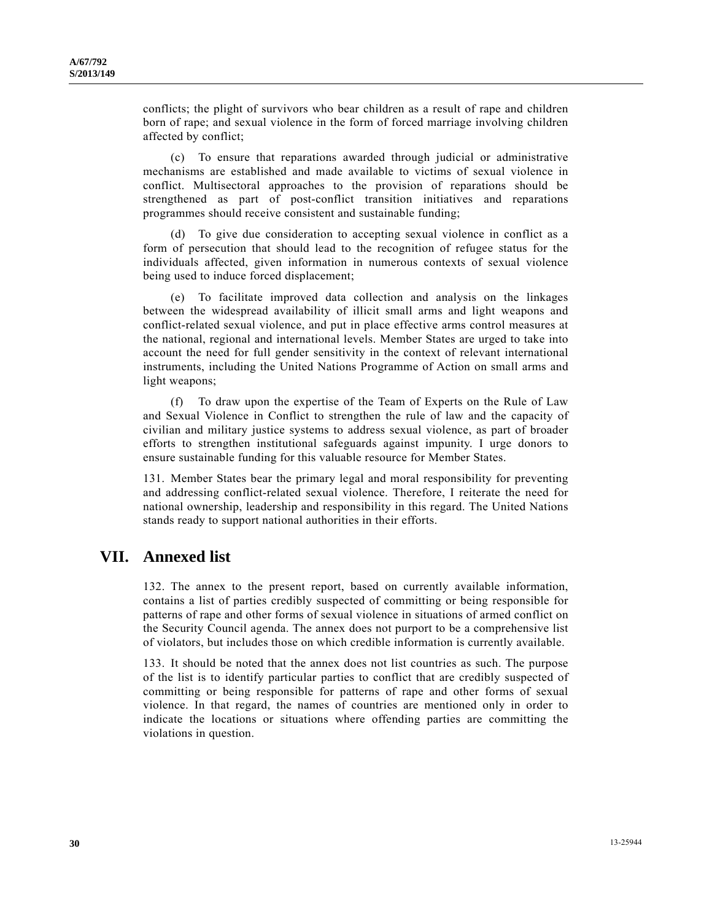conflicts; the plight of survivors who bear children as a result of rape and children born of rape; and sexual violence in the form of forced marriage involving children affected by conflict;

 (c) To ensure that reparations awarded through judicial or administrative mechanisms are established and made available to victims of sexual violence in conflict. Multisectoral approaches to the provision of reparations should be strengthened as part of post-conflict transition initiatives and reparations programmes should receive consistent and sustainable funding;

 (d) To give due consideration to accepting sexual violence in conflict as a form of persecution that should lead to the recognition of refugee status for the individuals affected, given information in numerous contexts of sexual violence being used to induce forced displacement;

 (e) To facilitate improved data collection and analysis on the linkages between the widespread availability of illicit small arms and light weapons and conflict-related sexual violence, and put in place effective arms control measures at the national, regional and international levels. Member States are urged to take into account the need for full gender sensitivity in the context of relevant international instruments, including the United Nations Programme of Action on small arms and light weapons;

 (f) To draw upon the expertise of the Team of Experts on the Rule of Law and Sexual Violence in Conflict to strengthen the rule of law and the capacity of civilian and military justice systems to address sexual violence, as part of broader efforts to strengthen institutional safeguards against impunity. I urge donors to ensure sustainable funding for this valuable resource for Member States.

131. Member States bear the primary legal and moral responsibility for preventing and addressing conflict-related sexual violence. Therefore, I reiterate the need for national ownership, leadership and responsibility in this regard. The United Nations stands ready to support national authorities in their efforts.

# **VII. Annexed list**

132. The annex to the present report, based on currently available information, contains a list of parties credibly suspected of committing or being responsible for patterns of rape and other forms of sexual violence in situations of armed conflict on the Security Council agenda. The annex does not purport to be a comprehensive list of violators, but includes those on which credible information is currently available.

133. It should be noted that the annex does not list countries as such. The purpose of the list is to identify particular parties to conflict that are credibly suspected of committing or being responsible for patterns of rape and other forms of sexual violence. In that regard, the names of countries are mentioned only in order to indicate the locations or situations where offending parties are committing the violations in question.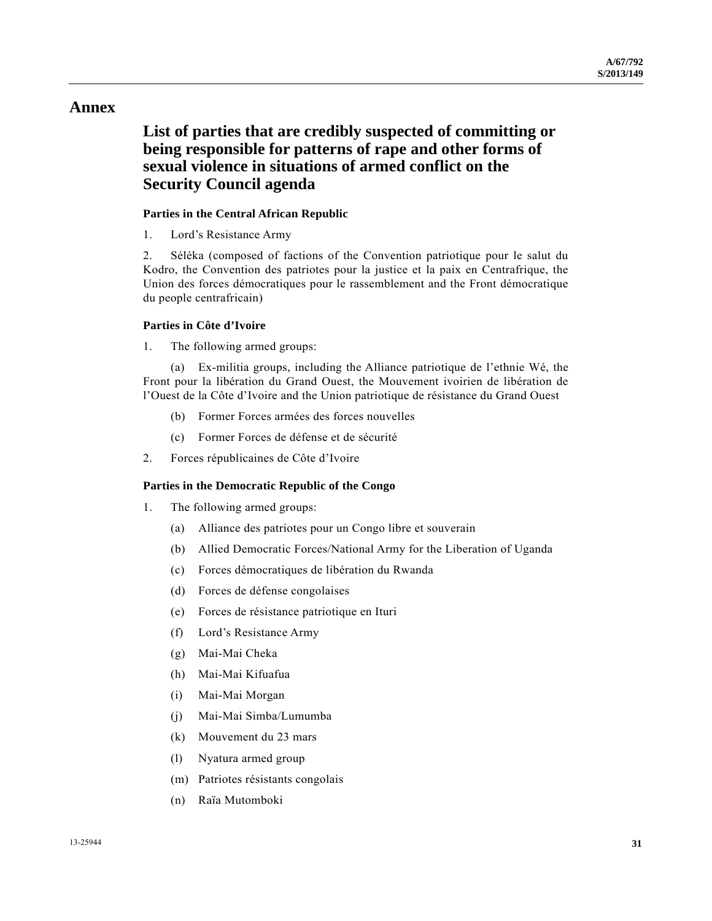## **Annex**

# **List of parties that are credibly suspected of committing or being responsible for patterns of rape and other forms of sexual violence in situations of armed conflict on the Security Council agenda**

### **Parties in the Central African Republic**

1. Lord's Resistance Army

2. Séléka (composed of factions of the Convention patriotique pour le salut du Kodro, the Convention des patriotes pour la justice et la paix en Centrafrique, the Union des forces démocratiques pour le rassemblement and the Front démocratique du people centrafricain)

### **Parties in Côte d'Ivoire**

1. The following armed groups:

 (a) Ex-militia groups, including the Alliance patriotique de l'ethnie Wé, the Front pour la libération du Grand Ouest, the Mouvement ivoirien de libération de l'Ouest de la Côte d'Ivoire and the Union patriotique de résistance du Grand Ouest

- (b) Former Forces armées des forces nouvelles
- (c) Former Forces de défense et de sécurité
- 2. Forces républicaines de Côte d'Ivoire

### **Parties in the Democratic Republic of the Congo**

- 1. The following armed groups:
	- (a) Alliance des patriotes pour un Congo libre et souverain
	- (b) Allied Democratic Forces/National Army for the Liberation of Uganda
	- (c) Forces démocratiques de libération du Rwanda
	- (d) Forces de défense congolaises
	- (e) Forces de résistance patriotique en Ituri
	- (f) Lord's Resistance Army
	- (g) Mai-Mai Cheka
	- (h) Mai-Mai Kifuafua
	- (i) Mai-Mai Morgan
	- (j) Mai-Mai Simba/Lumumba
	- (k) Mouvement du 23 mars
	- (l) Nyatura armed group
	- (m) Patriotes résistants congolais
	- (n) Raïa Mutomboki